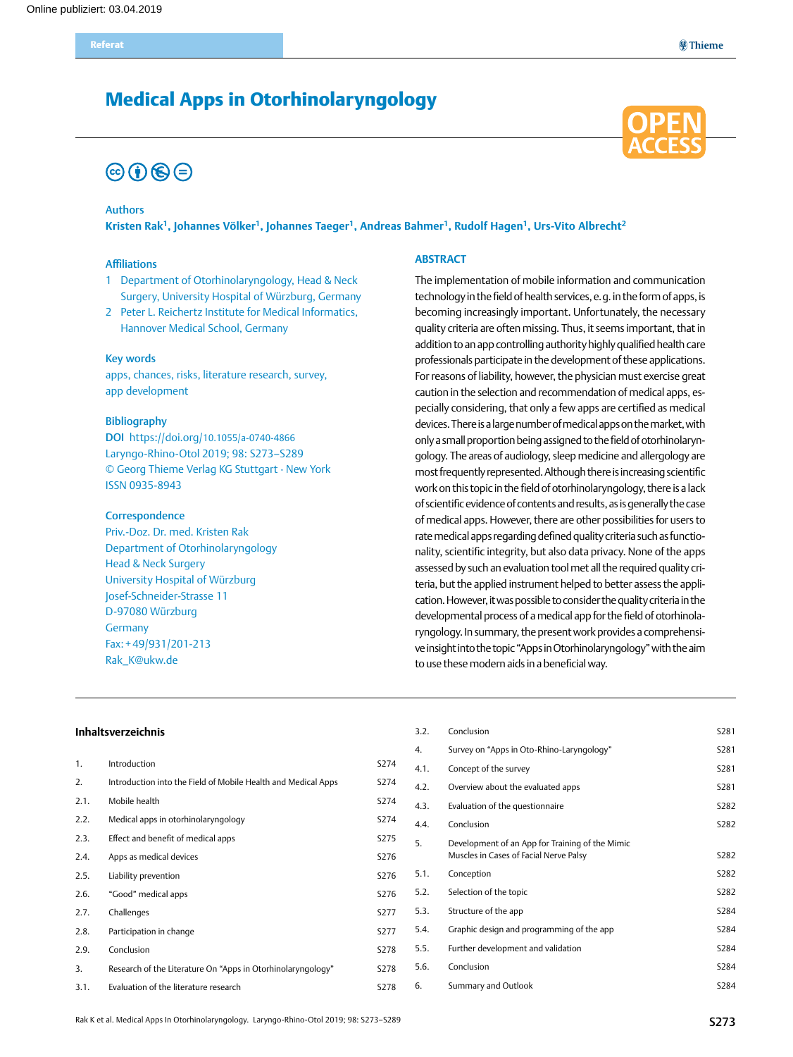## Medical Apps in Otorhinolaryngology

# $\circledcirc$  (i)  $\circledcirc$   $\circledcirc$

#### Authors

**Kristen Rak1, Johannes Völker1, Johannes Taeger1, Andreas Bahmer1, Rudolf Hagen1, Urs-Vito Albrecht2**

#### Affiliations

- 1 Department of Otorhinolaryngology, Head & Neck Surgery, University Hospital of Würzburg, Germany
- 2 Peter L. Reichertz Institute for Medical Informatics, Hannover Medical School, Germany

#### Key words

apps, chances, risks, literature research, survey, app development

#### Bibliography

DOI https://doi.org/10.1055/a-0740-4866 Laryngo-Rhino-Otol 2019; 98: S273–S289 © Georg Thieme Verlag KG Stuttgart · New York ISSN 0935-8943

#### **Correspondence**

Priv.-Doz. Dr. med. Kristen Rak Department of Otorhinolaryngology Head & Neck Surgery University Hospital of Würzburg Josef-Schneider-Strasse 11 D-97080 Würzburg **Germany** Fax:+49/931/201-213 [Rak\\_K@ukw.de](mailto:rak_k@ukw.de)

#### **Abstract**

The implementation of mobile information and communication technology in the field of health services, e.g. in the form of apps, is becoming increasingly important. Unfortunately, the necessary quality criteria are often missing. Thus, it seems important, that in addition to an app controlling authority highly qualified health care professionals participate in the development of these applications. For reasons of liability, however, the physician must exercise great caution in the selection and recommendation of medical apps, especially considering, that only a few apps are certified as medical devices. There is a large number of medical apps on the market, with only a small proportion being assigned to the field of otorhinolaryngology. The areas of audiology, sleep medicine and allergology are most frequently represented. Although there is increasing scientific work on this topic in the field of otorhinolaryngology, there is a lack of scientific evidence of contents and results, as is generally the case of medical apps. However, there are other possibilities for users to rate medical apps regarding defined quality criteria such as functionality, scientific integrity, but also data privacy. None of the apps assessed by such an evaluation tool met all the required quality criteria, but the applied instrument helped to better assess the application. However, it was possible to consider the quality criteria in the developmental process of a medical app for the field of otorhinolaryngology. In summary, the present work provides a comprehensive insight into the topic "Apps in Otorhinolaryngology" with the aim to use these modern aids in a beneficial way.

#### **Inhaltsverzeichnis**

| 1.   | Introduction                                                  | S274 |
|------|---------------------------------------------------------------|------|
| 2.   | Introduction into the Field of Mobile Health and Medical Apps | S274 |
| 2.1. | Mobile health                                                 | S274 |
| 2.2. | Medical apps in otorhinolaryngology                           | S274 |
| 2.3. | Effect and benefit of medical apps                            | S275 |
| 2.4. | Apps as medical devices                                       | S276 |
| 2.5. | Liability prevention                                          | S276 |
| 2.6. | "Good" medical apps                                           | S276 |
| 2.7. | Challenges                                                    | S277 |
| 2.8. | Participation in change                                       | S277 |
| 2.9. | Conclusion                                                    | S278 |
| 3.   | Research of the Literature On "Apps in Otorhinolaryngology"   | S278 |
|      |                                                               |      |

3.1. [Evaluation of the literature research](#page-5-0) S278

3.2. [Conclusion](#page-8-0) S281 4. [Survey on "Apps in Oto-Rhino-Laryngology"](#page-8-0) S281 4.1. [Concept of the survey](#page-8-0) S281 4.2. [Overview about the evaluated apps](#page-8-0) S281 4.3. [Evaluation of the questionnaire](#page-9-0) S282 4.4. [Conclusion](#page-9-0) S282 5. [Development of an App for Training of the Mimic](#page-9-0)  [Muscles in Cases of Facial Nerve Palsy](#page-9-0) S282 5.1. [Conception](#page-9-0) S282 5.2. [Selection of the topic](#page-9-0) S282 5.3. [Structure of the app](#page-11-0) S284 5.4. [Graphic design and programming of the app](#page-11-0) S284 5.5. [Further development and validation](#page-11-0) S284 5.6. [Conclusion](#page-11-0) **S284** 6. [Summary and Outlook](#page-11-0) S284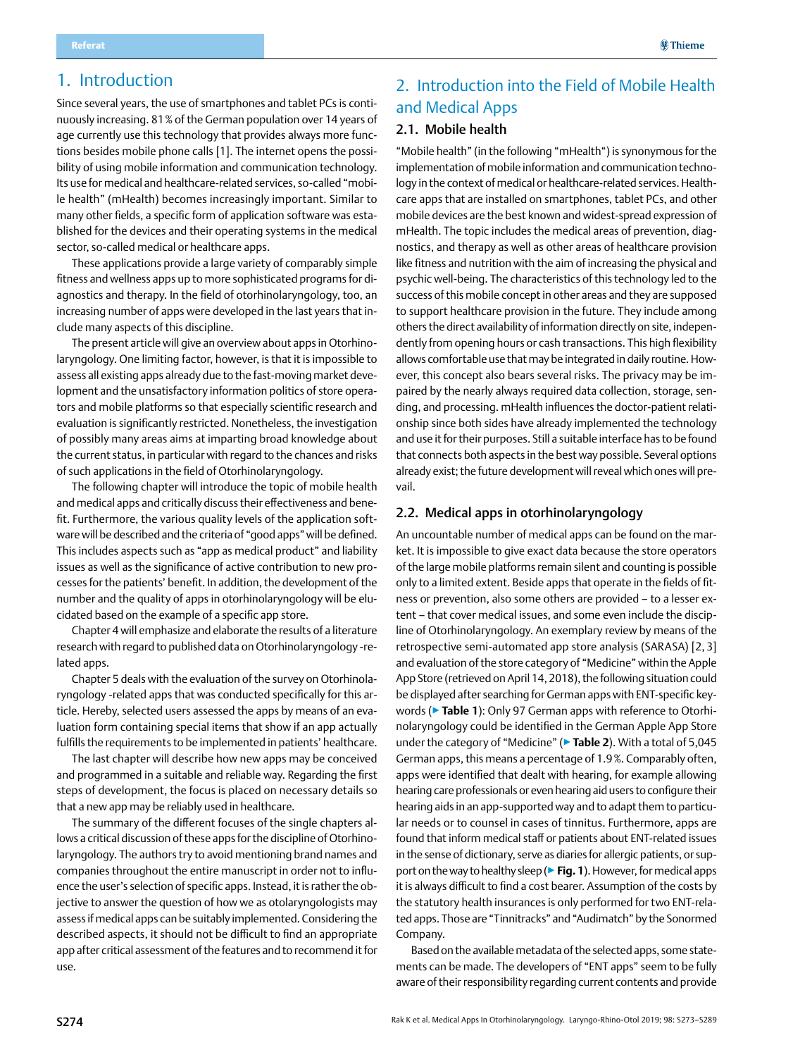## <span id="page-1-0"></span>1. Introduction

Since several years, the use of smartphones and tablet PCs is continuously increasing. 81% of the German population over 14 years of age currently use this technology that provides always more functions besides mobile phone calls [1]. The internet opens the possibility of using mobile information and communication technology. Its use for medical and healthcare-related services, so-called "mobile health" (mHealth) becomes increasingly important. Similar to many other fields, a specific form of application software was established for the devices and their operating systems in the medical sector, so-called medical or healthcare apps.

These applications provide a large variety of comparably simple fitness and wellness apps up to more sophisticated programs for diagnostics and therapy. In the field of otorhinolaryngology, too, an increasing number of apps were developed in the last years that include many aspects of this discipline.

The present article will give an overview about apps in Otorhinolaryngology. One limiting factor, however, is that it is impossible to assess all existing apps already due to the fast-moving market development and the unsatisfactory information politics of store operators and mobile platforms so that especially scientific research and evaluation is significantly restricted. Nonetheless, the investigation of possibly many areas aims at imparting broad knowledge about the current status, in particular with regard to the chances and risks of such applications in the field of Otorhinolaryngology.

The following chapter will introduce the topic of mobile health and medical apps and critically discuss their effectiveness and benefit. Furthermore, the various quality levels of the application software will be described and the criteria of "good apps" will be defined. This includes aspects such as "app as medical product" and liability issues as well as the significance of active contribution to new processes for the patients' benefit. In addition, the development of the number and the quality of apps in otorhinolaryngology will be elucidated based on the example of a specific app store.

Chapter 4 will emphasize and elaborate the results of a literature research with regard to published data on Otorhinolaryngology -related apps.

Chapter 5 deals with the evaluation of the survey on Otorhinolaryngology -related apps that was conducted specifically for this article. Hereby, selected users assessed the apps by means of an evaluation form containing special items that show if an app actually fulfills the requirements to be implemented in patients' healthcare.

The last chapter will describe how new apps may be conceived and programmed in a suitable and reliable way. Regarding the first steps of development, the focus is placed on necessary details so that a new app may be reliably used in healthcare.

The summary of the different focuses of the single chapters allows a critical discussion of these apps for the discipline of Otorhinolaryngology. The authors try to avoid mentioning brand names and companies throughout the entire manuscript in order not to influence the user's selection of specific apps. Instead, it is rather the objective to answer the question of how we as otolaryngologists may assess if medical apps can be suitably implemented. Considering the described aspects, it should not be difficult to find an appropriate app after critical assessment of the features and to recommend it for use.

## 2. Introduction into the Field of Mobile Health and Medical Apps

## 2.1. Mobile health

"Mobile health" (in the following "mHealth") is synonymous for the implementation of mobile information and communication technology in the context of medical or healthcare-related services. Healthcare apps that are installed on smartphones, tablet PCs, and other mobile devices are the best known and widest-spread expression of mHealth. The topic includes the medical areas of prevention, diagnostics, and therapy as well as other areas of healthcare provision like fitness and nutrition with the aim of increasing the physical and psychic well-being. The characteristics of this technology led to the success of this mobile concept in other areas and they are supposed to support healthcare provision in the future. They include among others the direct availability of information directly on site, independently from opening hours or cash transactions. This high flexibility allows comfortable use that may be integrated in daily routine. However, this concept also bears several risks. The privacy may be impaired by the nearly always required data collection, storage, sending, and processing. mHealth influences the doctor-patient relationship since both sides have already implemented the technology and use it for their purposes. Still a suitable interface has to be found that connects both aspects in the best way possible. Several options already exist; the future development will reveal which ones will prevail.

#### 2.2. Medical apps in otorhinolaryngology

An uncountable number of medical apps can be found on the market. It is impossible to give exact data because the store operators of the large mobile platforms remain silent and counting is possible only to a limited extent. Beside apps that operate in the fields of fitness or prevention, also some others are provided – to a lesser extent – that cover medical issues, and some even include the discipline of Otorhinolaryngology. An exemplary review by means of the retrospective semi-automated app store analysis (SARASA) [2, 3] and evaluation of the store category of "Medicine" within the Apple App Store (retrieved on April 14, 2018), the following situation could be displayed after searching for German apps with ENT-specific keywords (▶**Table 1**): Only 97 German apps with reference to Otorhinolaryngology could be identified in the German Apple App Store under the category of "Medicine" (▶**Table 2**). With a total of 5,045 German apps, this means a percentage of 1.9%. Comparably often, apps were identified that dealt with hearing, for example allowing hearing care professionals or even hearing aid users to configure their hearing aids in an app-supported way and to adapt them to particular needs or to counsel in cases of tinnitus. Furthermore, apps are found that inform medical staff or patients about ENT-related issues in the sense of dictionary, serve as diaries for allergic patients, or support on the way to healthy sleep (▶**Fig. 1**). However, for medical apps it is always difficult to find a cost bearer. Assumption of the costs by the statutory health insurances is only performed for two ENT-related apps. Those are "Tinnitracks" and "Audimatch" by the Sonormed Company.

Based on the available metadata of the selected apps, some statements can be made. The developers of "ENT apps" seem to be fully aware of their responsibility regarding current contents and provide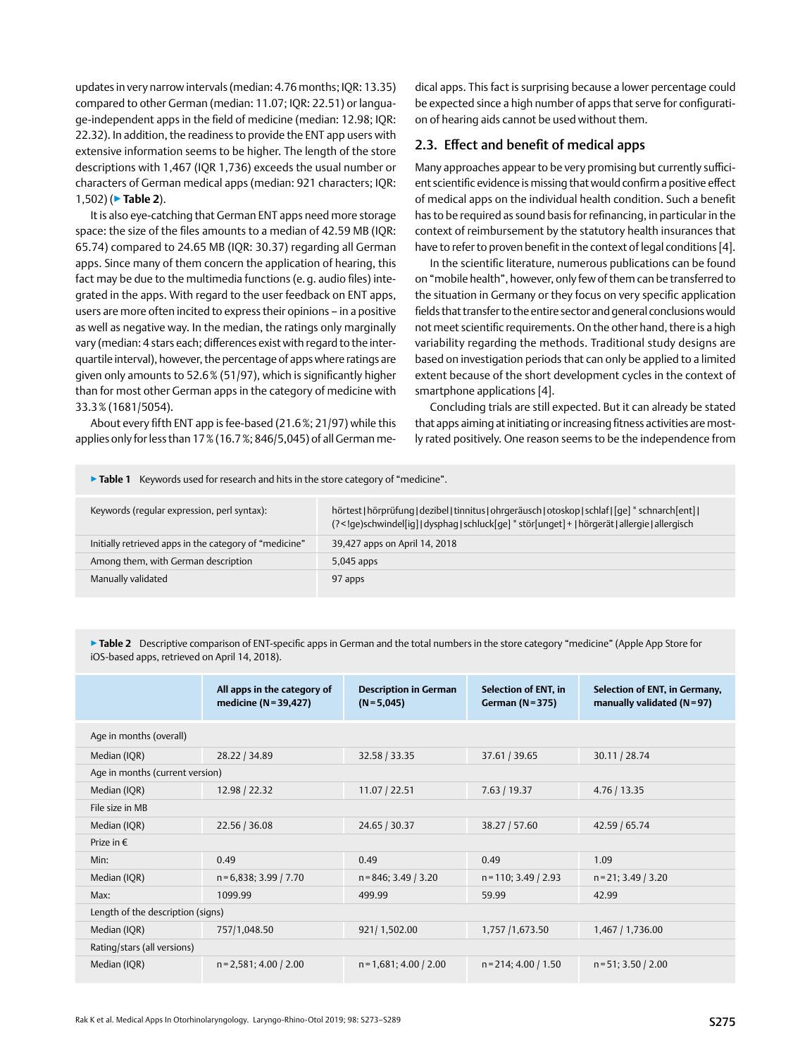<span id="page-2-0"></span>updates in very narrow intervals (median: 4.76 months; IQR: 13.35) compared to other German (median: 11.07; IQR: 22.51) or language-independent apps in the field of medicine (median: 12.98; IQR: 22.32). In addition, the readiness to provide the ENT app users with extensive information seems to be higher. The length of the store descriptions with 1,467 (IQR 1,736) exceeds the usual number or characters of German medical apps (median: 921 characters; IQR: 1,502) (▶**Table 2**).

It is also eye-catching that German ENT apps need more storage space: the size of the files amounts to a median of 42.59 MB (IQR: 65.74) compared to 24.65 MB (IQR: 30.37) regarding all German apps. Since many of them concern the application of hearing, this fact may be due to the multimedia functions (e. q. audio files) integrated in the apps. With regard to the user feedback on ENT apps, users are more often incited to express their opinions – in a positive as well as negative way. In the median, the ratings only marginally vary (median: 4 stars each; differences exist with regard to the interquartile interval), however, the percentage of apps where ratings are given only amounts to 52.6% (51/97), which is significantly higher than for most other German apps in the category of medicine with 33.3% (1681/5054).

About every fifth ENT app is fee-based (21.6%; 21/97) while this applies only for less than 17% (16.7%; 846/5,045) of all German medical apps. This fact is surprising because a lower percentage could be expected since a high number of apps that serve for configuration of hearing aids cannot be used without them.

### 2.3. Effect and benefit of medical apps

Many approaches appear to be very promising but currently sufficient scientific evidence is missing that would confirm a positive effect of medical apps on the individual health condition. Such a benefit has to be required as sound basis for refinancing, in particular in the context of reimbursement by the statutory health insurances that have to refer to proven benefit in the context of legal conditions [4].

In the scientific literature, numerous publications can be found on "mobile health", however, only few of them can be transferred to the situation in Germany or they focus on very specific application fields that transfer to the entire sector and general conclusions would not meet scientific requirements. On the other hand, there is a high variability regarding the methods. Traditional study designs are based on investigation periods that can only be applied to a limited extent because of the short development cycles in the context of smartphone applications [4].

Concluding trials are still expected. But it can already be stated that apps aiming at initiating or increasing fitness activities are mostly rated positively. One reason seems to be the independence from

▶**Table 1** Keywords used for research and hits in the store category of "medicine".

| Keywords (reqular expression, perl syntax):            | hörtest   hörprüfung   dezibel   tinnitus   ohrgeräusch   otoskop   schlaf   [qe] * schnarch [ent]  <br>(? ge)schwindel[ig] dysphag schluck[ge] * stör[unget] +   hörgerät allergie allergisch</td |
|--------------------------------------------------------|----------------------------------------------------------------------------------------------------------------------------------------------------------------------------------------------------|
| Initially retrieved apps in the category of "medicine" | 39,427 apps on April 14, 2018                                                                                                                                                                      |
| Among them, with German description                    | $5,045$ apps                                                                                                                                                                                       |
| Manually validated                                     | 97 apps                                                                                                                                                                                            |

▶ Table 2 Descriptive comparison of ENT-specific apps in German and the total numbers in the store category "medicine" (Apple App Store for iOS-based apps, retrieved on April 14, 2018).

|                                   | All apps in the category of<br>medicine (N=39,427) | <b>Description in German</b><br>$(N=5,045)$ | Selection of ENT, in<br><b>German (N=375)</b> | Selection of ENT, in Germany,<br>manually validated $(N=97)$ |  |  |
|-----------------------------------|----------------------------------------------------|---------------------------------------------|-----------------------------------------------|--------------------------------------------------------------|--|--|
| Age in months (overall)           |                                                    |                                             |                                               |                                                              |  |  |
| Median (IQR)                      | 28.22 / 34.89                                      | 32.58 / 33.35                               | 37.61 / 39.65                                 | 30.11 / 28.74                                                |  |  |
| Age in months (current version)   |                                                    |                                             |                                               |                                                              |  |  |
| Median (IQR)                      | 12.98 / 22.32                                      | 11.07 / 22.51                               | 7.63 / 19.37                                  | 4.76 / 13.35                                                 |  |  |
| File size in MB                   |                                                    |                                             |                                               |                                                              |  |  |
| Median (IQR)                      | 22.56 / 36.08                                      | 24.65 / 30.37                               | 38.27 / 57.60                                 | 42.59 / 65.74                                                |  |  |
| Prize in $\epsilon$               |                                                    |                                             |                                               |                                                              |  |  |
| Min:                              | 0.49                                               | 0.49                                        | 0.49                                          | 1.09                                                         |  |  |
| Median (IQR)                      | $n=6,838; 3.99/7.70$                               | $n = 846$ ; 3.49 / 3.20                     | $n = 110$ ; 3.49 / 2.93                       | $n = 21$ ; 3.49 / 3.20                                       |  |  |
| Max:                              | 1099.99                                            | 499.99                                      | 59.99                                         | 42.99                                                        |  |  |
| Length of the description (signs) |                                                    |                                             |                                               |                                                              |  |  |
| Median (IQR)                      | 757/1,048.50                                       | 921/1,502.00                                | 1,757 /1,673.50                               | 1,467   1,736.00                                             |  |  |
| Rating/stars (all versions)       |                                                    |                                             |                                               |                                                              |  |  |
| Median (IQR)                      | $n = 2,581; 4.00 / 2.00$                           | $n = 1,681; 4.00 / 2.00$                    | $n = 214$ ; 4.00 / 1.50                       | $n = 51$ ; 3.50 / 2.00                                       |  |  |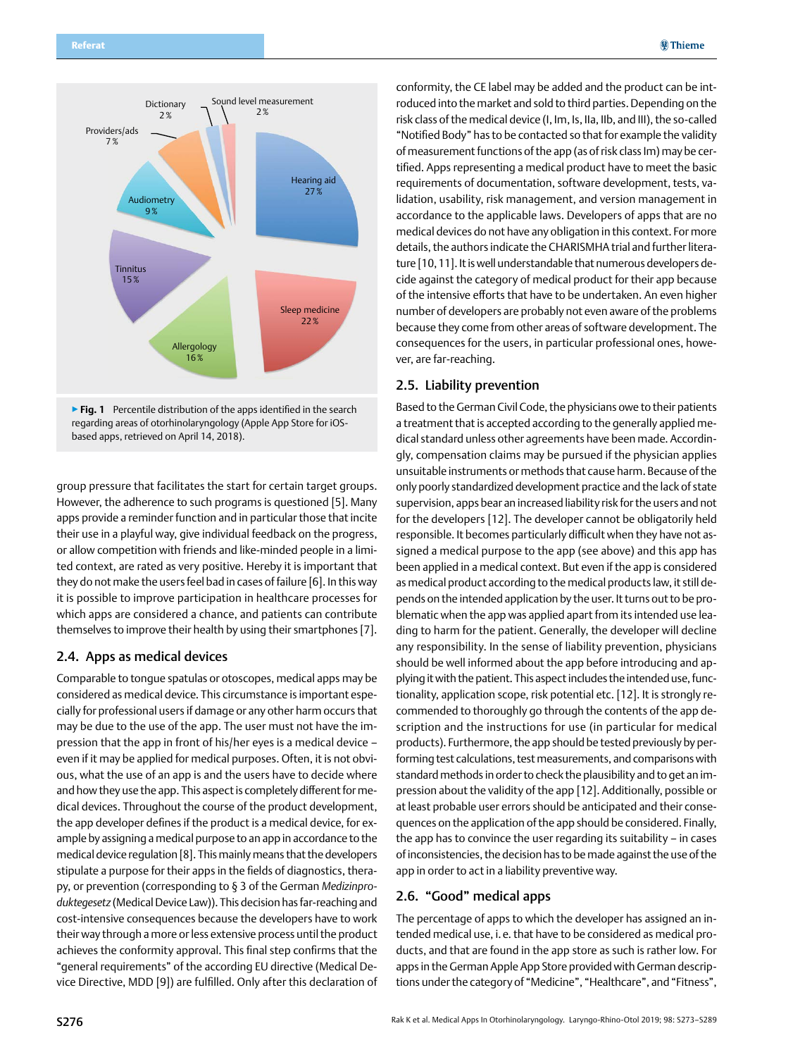<span id="page-3-0"></span>

regarding areas of otorhinolaryngology (Apple App Store for iOSbased apps, retrieved on April 14, 2018).

group pressure that facilitates the start for certain target groups. However, the adherence to such programs is questioned [5]. Many apps provide a reminder function and in particular those that incite their use in a playful way, give individual feedback on the progress, or allow competition with friends and like-minded people in a limited context, are rated as very positive. Hereby it is important that they do not make the users feel bad in cases of failure [6]. In this way it is possible to improve participation in healthcare processes for which apps are considered a chance, and patients can contribute themselves to improve their health by using their smartphones [7].

#### 2.4. Apps as medical devices

Comparable to tongue spatulas or otoscopes, medical apps may be considered as medical device. This circumstance is important especially for professional users if damage or any other harm occurs that may be due to the use of the app. The user must not have the impression that the app in front of his/her eyes is a medical device – even if it may be applied for medical purposes. Often, it is not obvious, what the use of an app is and the users have to decide where and how they use the app. This aspect is completely different for medical devices. Throughout the course of the product development, the app developer defines if the product is a medical device, for example by assigning a medical purpose to an app in accordance to the medical device regulation [8]. This mainly means that the developers stipulate a purpose for their apps in the fields of diagnostics, therapy, or prevention (corresponding to § 3 of the German *Medizinproduktegesetz* (Medical Device Law)). This decision has far-reaching and cost-intensive consequences because the developers have to work their way through a more or less extensive process until the product achieves the conformity approval. This final step confirms that the "general requirements" of the according EU directive (Medical Device Directive, MDD [9]) are fulfilled. Only after this declaration of

conformity, the CE label may be added and the product can be introduced into the market and sold to third parties. Depending on the risk class of the medical device (I, Im, Is, IIa, IIb, and III), the so-called "Notified Body" has to be contacted so that for example the validity of measurement functions of the app (as of risk class Im) may be certified. Apps representing a medical product have to meet the basic requirements of documentation, software development, tests, validation, usability, risk management, and version management in accordance to the applicable laws. Developers of apps that are no medical devices do not have any obligation in this context. For more details, the authors indicate the CHARISMHA trial and further literature [10,11]. It is well understandable that numerous developers decide against the category of medical product for their app because of the intensive efforts that have to be undertaken. An even higher number of developers are probably not even aware of the problems because they come from other areas of software development. The consequences for the users, in particular professional ones, however, are far-reaching.

#### 2.5. Liability prevention

Based to the German Civil Code, the physicians owe to their patients a treatment that is accepted according to the generally applied medical standard unless other agreements have been made. Accordingly, compensation claims may be pursued if the physician applies unsuitable instruments or methods that cause harm. Because of the only poorly standardized development practice and the lack of state supervision, apps bear an increased liability risk for the users and not for the developers [12]. The developer cannot be obligatorily held responsible. It becomes particularly difficult when they have not assigned a medical purpose to the app (see above) and this app has been applied in a medical context. But even if the app is considered as medical product according to the medical products law, it still depends on the intended application by the user. It turns out to be problematic when the app was applied apart from its intended use leading to harm for the patient. Generally, the developer will decline any responsibility. In the sense of liability prevention, physicians should be well informed about the app before introducing and applying it with the patient. This aspect includes the intended use, functionality, application scope, risk potential etc. [12]. It is strongly recommended to thoroughly go through the contents of the app description and the instructions for use (in particular for medical products). Furthermore, the app should be tested previously by performing test calculations, test measurements, and comparisons with standard methods in order to check the plausibility and to get an impression about the validity of the app [12]. Additionally, possible or at least probable user errors should be anticipated and their consequences on the application of the app should be considered. Finally, the app has to convince the user regarding its suitability – in cases of inconsistencies, the decision has to be made against the use of the app in order to act in a liability preventive way.

#### 2.6. "Good" medical apps

The percentage of apps to which the developer has assigned an intended medical use, i.e. that have to be considered as medical products, and that are found in the app store as such is rather low. For apps in the German Apple App Store provided with German descriptions under the category of "Medicine", "Healthcare", and "Fitness",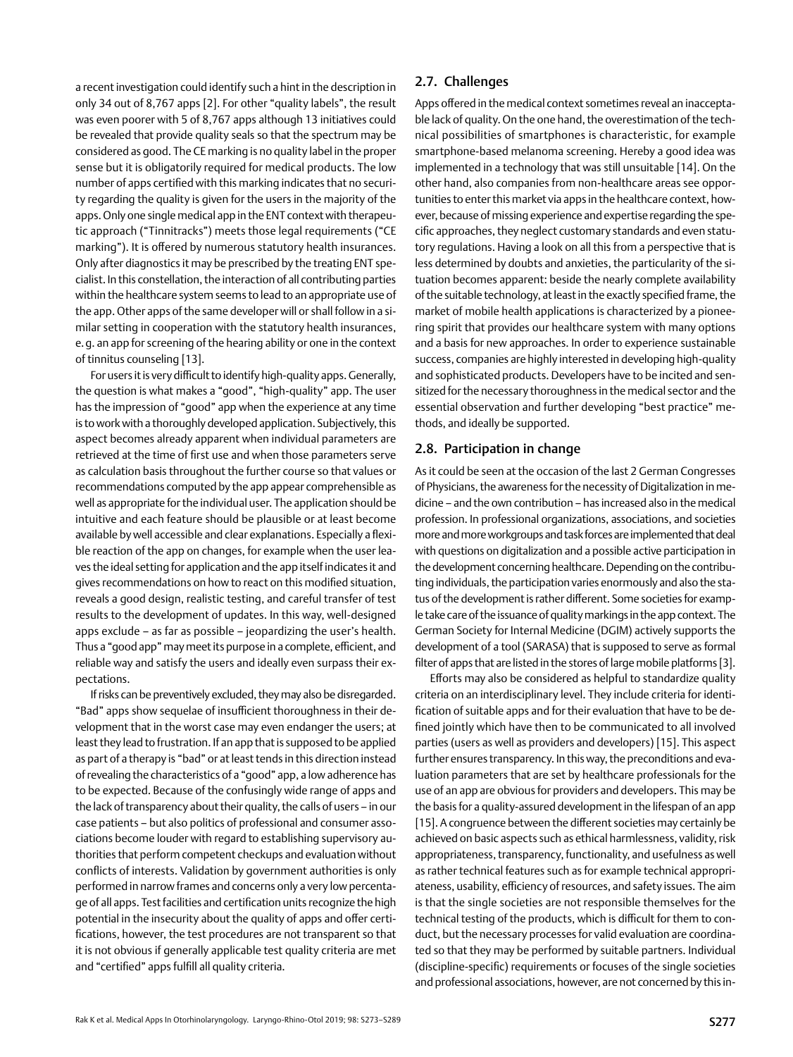<span id="page-4-0"></span>a recent investigation could identify such a hint in the description in only 34 out of 8,767 apps [2]. For other "quality labels", the result was even poorer with 5 of 8,767 apps although 13 initiatives could be revealed that provide quality seals so that the spectrum may be considered as good. The CE marking is no quality label in the proper sense but it is obligatorily required for medical products. The low number of apps certified with this marking indicates that no security regarding the quality is given for the users in the majority of the apps. Only one single medical app in the ENT context with therapeutic approach ("Tinnitracks") meets those legal requirements ("CE marking"). It is offered by numerous statutory health insurances. Only after diagnostics it may be prescribed by the treating ENT specialist. In this constellation, the interaction of all contributing parties within the healthcare system seems to lead to an appropriate use of the app. Other apps of the same developer will or shall follow in a similar setting in cooperation with the statutory health insurances, e.g. an app for screening of the hearing ability or one in the context of tinnitus counseling [13].

For users it is very difficult to identify high-quality apps. Generally, the question is what makes a "good", "high-quality" app. The user has the impression of "good" app when the experience at any time is to work with a thoroughly developed application. Subjectively, this aspect becomes already apparent when individual parameters are retrieved at the time of first use and when those parameters serve as calculation basis throughout the further course so that values or recommendations computed by the app appear comprehensible as well as appropriate for the individual user. The application should be intuitive and each feature should be plausible or at least become available by well accessible and clear explanations. Especially a flexible reaction of the app on changes, for example when the user leaves the ideal setting for application and the app itself indicates it and gives recommendations on how to react on this modified situation, reveals a good design, realistic testing, and careful transfer of test results to the development of updates. In this way, well-designed apps exclude – as far as possible – jeopardizing the user's health. Thus a "good app" may meet its purpose in a complete, efficient, and reliable way and satisfy the users and ideally even surpass their expectations.

If risks can be preventively excluded, they may also be disregarded. "Bad" apps show sequelae of insufficient thoroughness in their development that in the worst case may even endanger the users; at least they lead to frustration. If an app that is supposed to be applied as part of a therapy is "bad" or at least tends in this direction instead of revealing the characteristics of a "good" app, a low adherence has to be expected. Because of the confusingly wide range of apps and the lack of transparency about their quality, the calls of users – in our case patients – but also politics of professional and consumer associations become louder with regard to establishing supervisory authorities that perform competent checkups and evaluation without conflicts of interests. Validation by government authorities is only performed in narrow frames and concerns only a very low percentage of all apps. Test facilities and certification units recognize the high potential in the insecurity about the quality of apps and offer certifications, however, the test procedures are not transparent so that it is not obvious if generally applicable test quality criteria are met and "certified" apps fulfill all quality criteria.

## 2.7. Challenges

Apps offered in the medical context sometimes reveal an inacceptable lack of quality. On the one hand, the overestimation of the technical possibilities of smartphones is characteristic, for example smartphone-based melanoma screening. Hereby a good idea was implemented in a technology that was still unsuitable [14]. On the other hand, also companies from non-healthcare areas see opportunities to enter this market via apps in the healthcare context, however, because of missing experience and expertise regarding the specific approaches, they neglect customary standards and even statutory regulations. Having a look on all this from a perspective that is less determined by doubts and anxieties, the particularity of the situation becomes apparent: beside the nearly complete availability of the suitable technology, at least in the exactly specified frame, the market of mobile health applications is characterized by a pioneering spirit that provides our healthcare system with many options and a basis for new approaches. In order to experience sustainable success, companies are highly interested in developing high-quality and sophisticated products. Developers have to be incited and sensitized for the necessary thoroughness in the medical sector and the essential observation and further developing "best practice" methods, and ideally be supported.

## 2.8. Participation in change

As it could be seen at the occasion of the last 2 German Congresses of Physicians, the awareness for the necessity of Digitalization in medicine – and the own contribution – has increased also in the medical profession. In professional organizations, associations, and societies more and more workgroups and task forces are implemented that deal with questions on digitalization and a possible active participation in the development concerning healthcare. Depending on the contributing individuals, the participation varies enormously and also the status of the development is rather different. Some societies for example take care of the issuance of quality markings in the app context. The German Society for Internal Medicine (DGIM) actively supports the development of a tool (SARASA) that is supposed to serve as formal filter of apps that are listed in the stores of large mobile platforms [3].

Efforts may also be considered as helpful to standardize quality criteria on an interdisciplinary level. They include criteria for identification of suitable apps and for their evaluation that have to be defined jointly which have then to be communicated to all involved parties (users as well as providers and developers) [15]. This aspect further ensures transparency. In this way, the preconditions and evaluation parameters that are set by healthcare professionals for the use of an app are obvious for providers and developers. This may be the basis for a quality-assured development in the lifespan of an app [15]. A congruence between the different societies may certainly be achieved on basic aspects such as ethical harmlessness, validity, risk appropriateness, transparency, functionality, and usefulness as well as rather technical features such as for example technical appropriateness, usability, efficiency of resources, and safety issues. The aim is that the single societies are not responsible themselves for the technical testing of the products, which is difficult for them to conduct, but the necessary processes for valid evaluation are coordinated so that they may be performed by suitable partners. Individual (discipline-specific) requirements or focuses of the single societies and professional associations, however, are not concerned by this in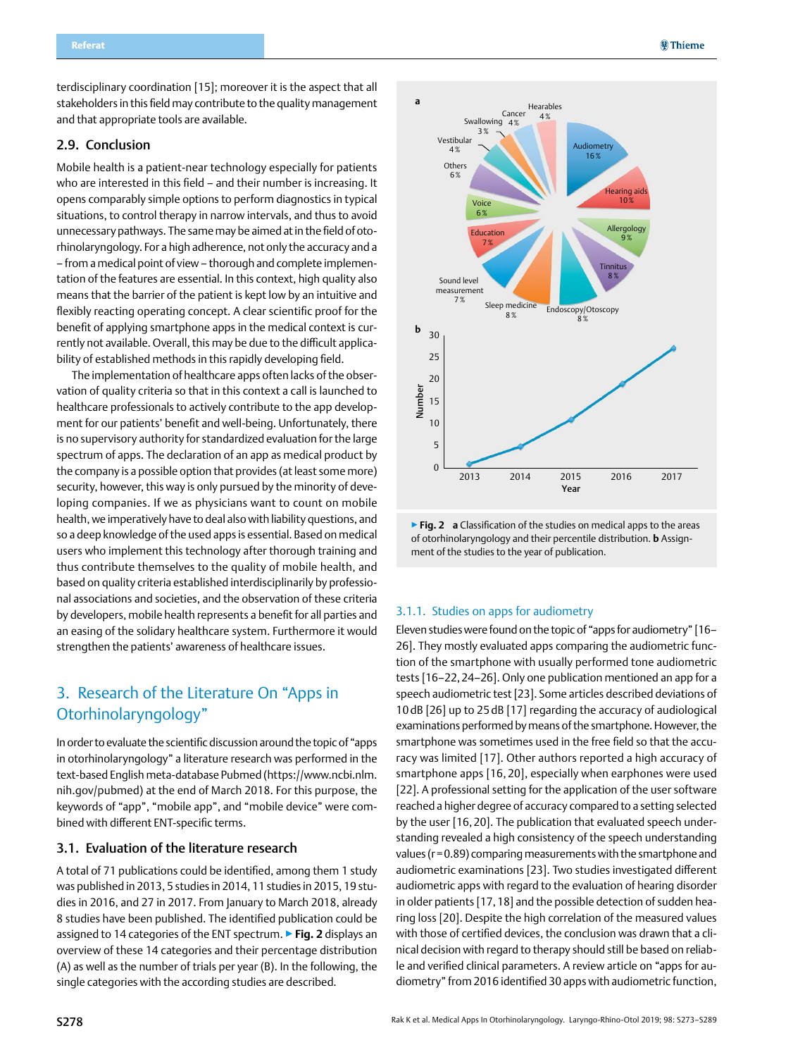<span id="page-5-0"></span>terdisciplinary coordination [15]; moreover it is the aspect that all stakeholders in this field may contribute to the quality management and that appropriate tools are available.

### 2.9. Conclusion

Mobile health is a patient-near technology especially for patients who are interested in this field – and their number is increasing. It opens comparably simple options to perform diagnostics in typical situations, to control therapy in narrow intervals, and thus to avoid unnecessary pathways. The same may be aimed at in the field of otorhinolaryngology. For a high adherence, not only the accuracy and a – from a medical point of view – thorough and complete implementation of the features are essential. In this context, high quality also means that the barrier of the patient is kept low by an intuitive and flexibly reacting operating concept. A clear scientific proof for the benefit of applying smartphone apps in the medical context is currently not available. Overall, this may be due to the difficult applicability of established methods in this rapidly developing field.

The implementation of healthcare apps often lacks of the observation of quality criteria so that in this context a call is launched to healthcare professionals to actively contribute to the app development for our patients' benefit and well-being. Unfortunately, there is no supervisory authority for standardized evaluation for the large spectrum of apps. The declaration of an app as medical product by the company is a possible option that provides (at least some more) security, however, this way is only pursued by the minority of developing companies. If we as physicians want to count on mobile health, we imperatively have to deal also with liability questions, and so a deep knowledge of the used apps is essential. Based on medical users who implement this technology after thorough training and thus contribute themselves to the quality of mobile health, and based on quality criteria established interdisciplinarily by professional associations and societies, and the observation of these criteria by developers, mobile health represents a benefit for all parties and an easing of the solidary healthcare system. Furthermore it would strengthen the patients' awareness of healthcare issues.

## 3. Research of the Literature On "Apps in Otorhinolaryngology"

In order to evaluate the scientific discussion around the topic of "apps in otorhinolaryngology" a literature research was performed in the text-based English meta-database Pubmed (https://www.ncbi.nlm. nih.gov/pubmed) at the end of March 2018. For this purpose, the keywords of "app", "mobile app", and "mobile device" were combined with different ENT-specific terms.

#### 3.1. Evaluation of the literature research

A total of 71 publications could be identified, among them 1 study was published in 2013, 5 studies in 2014, 11 studies in 2015, 19 studies in 2016, and 27 in 2017. From January to March 2018, already 8 studies have been published. The identified publication could be assigned to 14 categories of the ENT spectrum. ▶**Fig. 2** displays an overview of these 14 categories and their percentage distribution (A) as well as the number of trials per year (B). In the following, the single categories with the according studies are described.



▶**Fig. 2 a** Classification of the studies on medical apps to the areas of otorhinolaryngology and their percentile distribution. **b** Assignment of the studies to the year of publication.

#### 3.1.1. Studies on apps for audiometry

Eleven studies were found on the topic of "apps for audiometry" [16– 26]. They mostly evaluated apps comparing the audiometric function of the smartphone with usually performed tone audiometric tests [16–22,24–26]. Only one publication mentioned an app for a speech audiometric test [23]. Some articles described deviations of 10dB [26] up to 25dB [17] regarding the accuracy of audiological examinations performed by means of the smartphone. However, the smartphone was sometimes used in the free field so that the accuracy was limited [17]. Other authors reported a high accuracy of smartphone apps [16, 20], especially when earphones were used [22]. A professional setting for the application of the user software reached a higher degree of accuracy compared to a setting selected by the user [16,20]. The publication that evaluated speech understanding revealed a high consistency of the speech understanding values (r=0.89) comparing measurements with the smartphone and audiometric examinations [23]. Two studies investigated different audiometric apps with regard to the evaluation of hearing disorder in older patients [17,18] and the possible detection of sudden hearing loss [20]. Despite the high correlation of the measured values with those of certified devices, the conclusion was drawn that a clinical decision with regard to therapy should still be based on reliable and verified clinical parameters. A review article on "apps for audiometry" from 2016 identified 30 apps with audiometric function,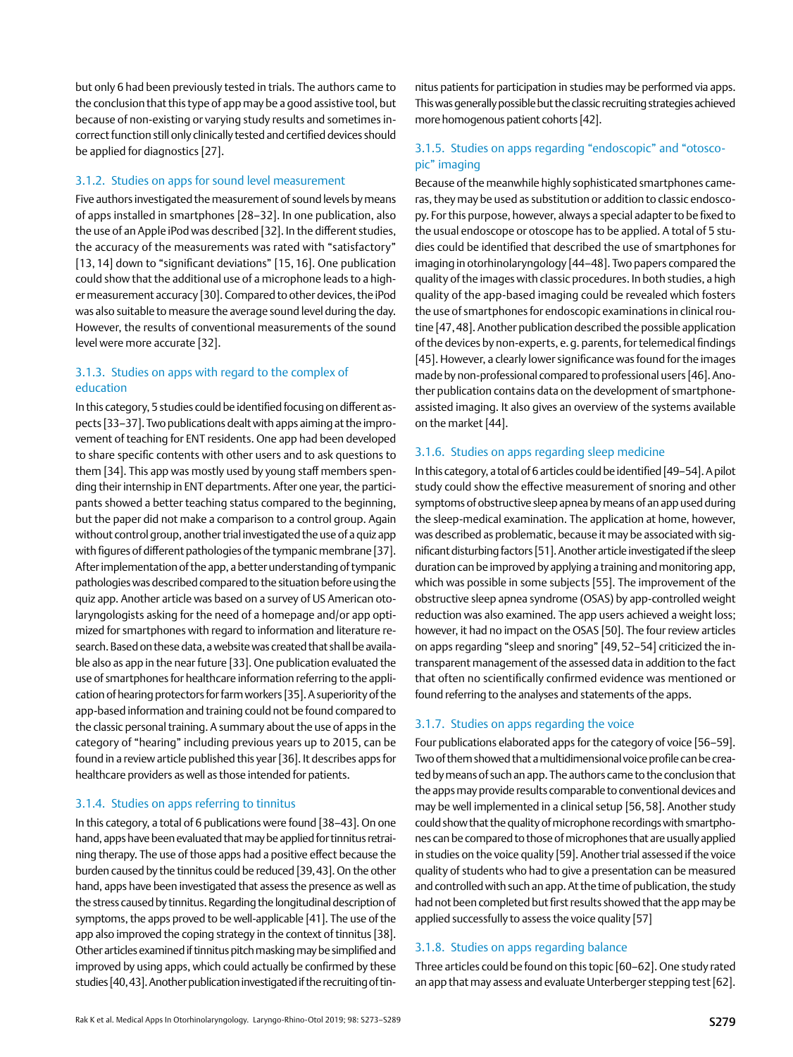but only 6 had been previously tested in trials. The authors came to the conclusion that this type of app may be a good assistive tool, but because of non-existing or varying study results and sometimes incorrect function still only clinically tested and certified devices should be applied for diagnostics [27].

#### 3.1.2. Studies on apps for sound level measurement

Five authors investigated the measurement of sound levels by means of apps installed in smartphones [28–32]. In one publication, also the use of an Apple iPod was described [32]. In the different studies, the accuracy of the measurements was rated with "satisfactory" [13,14] down to "significant deviations" [15, 16]. One publication could show that the additional use of a microphone leads to a higher measurement accuracy [30]. Compared to other devices, the iPod was also suitable to measure the average sound level during the day. However, the results of conventional measurements of the sound level were more accurate [32].

### 3.1.3. Studies on apps with regard to the complex of education

In this category, 5 studies could be identified focusing on different aspects [33–37]. Two publications dealt with apps aiming at the improvement of teaching for ENT residents. One app had been developed to share specific contents with other users and to ask questions to them [34]. This app was mostly used by young staff members spending their internship in ENT departments. After one year, the participants showed a better teaching status compared to the beginning, but the paper did not make a comparison to a control group. Again without control group, another trial investigated the use of a quiz app with figures of different pathologies of the tympanic membrane [37]. After implementation of the app, a better understanding of tympanic pathologies was described compared to the situation before using the quiz app. Another article was based on a survey of US American otolaryngologists asking for the need of a homepage and/or app optimized for smartphones with regard to information and literature research. Based on these data, a website was created that shall be available also as app in the near future [33]. One publication evaluated the use of smartphones for healthcare information referring to the application of hearing protectors for farm workers [35]. A superiority of the app-based information and training could not be found compared to the classic personal training. A summary about the use of apps in the category of "hearing" including previous years up to 2015, can be found in a review article published this year [36]. It describes apps for healthcare providers as well as those intended for patients.

#### 3.1.4. Studies on apps referring to tinnitus

In this category, a total of 6 publications were found [38–43]. On one hand, apps have been evaluated that may be applied for tinnitus retraining therapy. The use of those apps had a positive effect because the burden caused by the tinnitus could be reduced [39,43]. On the other hand, apps have been investigated that assess the presence as well as the stress caused by tinnitus. Regarding the longitudinal description of symptoms, the apps proved to be well-applicable [41]. The use of the app also improved the coping strategy in the context of tinnitus [38]. Other articles examined if tinnitus pitch masking may be simplified and improved by using apps, which could actually be confirmed by these studies [40,43]. Another publication investigated if the recruiting of tinnitus patients for participation in studies may be performed via apps. This was generally possible but the classic recruiting strategies achieved more homogenous patient cohorts [42].

## 3.1.5. Studies on apps regarding "endoscopic" and "otoscopic" imaging

Because of the meanwhile highly sophisticated smartphones cameras, they may be used as substitution or addition to classic endoscopy. For this purpose, however, always a special adapter to be fixed to the usual endoscope or otoscope has to be applied. A total of 5 studies could be identified that described the use of smartphones for imaging in otorhinolaryngology [44–48]. Two papers compared the quality of the images with classic procedures. In both studies, a high quality of the app-based imaging could be revealed which fosters the use of smartphones for endoscopic examinations in clinical routine [47,48]. Another publication described the possible application of the devices by non-experts, e.g. parents, for telemedical findings [45]. However, a clearly lower significance was found for the images made by non-professional compared to professional users [46]. Another publication contains data on the development of smartphoneassisted imaging. It also gives an overview of the systems available on the market [44].

#### 3.1.6. Studies on apps regarding sleep medicine

In this category, a total of 6 articles could be identified [49–54]. A pilot study could show the effective measurement of snoring and other symptoms of obstructive sleep apnea by means of an app used during the sleep-medical examination. The application at home, however, was described as problematic, because it may be associated with significant disturbing factors [51]. Another article investigated if the sleep duration can be improved by applying a training and monitoring app, which was possible in some subjects [55]. The improvement of the obstructive sleep apnea syndrome (OSAS) by app-controlled weight reduction was also examined. The app users achieved a weight loss; however, it had no impact on the OSAS [50]. The four review articles on apps regarding "sleep and snoring" [49,52–54] criticized the intransparent management of the assessed data in addition to the fact that often no scientifically confirmed evidence was mentioned or found referring to the analyses and statements of the apps.

#### 3.1.7. Studies on apps regarding the voice

Four publications elaborated apps for the category of voice [56–59]. Two of them showed that a multidimensional voice profile can be created by means of such an app. The authors came to the conclusion that the apps may provide results comparable to conventional devices and may be well implemented in a clinical setup [56,58]. Another study could show that the quality of microphone recordings with smartphones can be compared to those of microphones that are usually applied in studies on the voice quality [59]. Another trial assessed if the voice quality of students who had to give a presentation can be measured and controlled with such an app. At the time of publication, the study had not been completed but first results showed that the app may be applied successfully to assess the voice quality [57]

#### 3.1.8. Studies on apps regarding balance

Three articles could be found on this topic [60–62]. One study rated an app that may assess and evaluate Unterberger stepping test [62].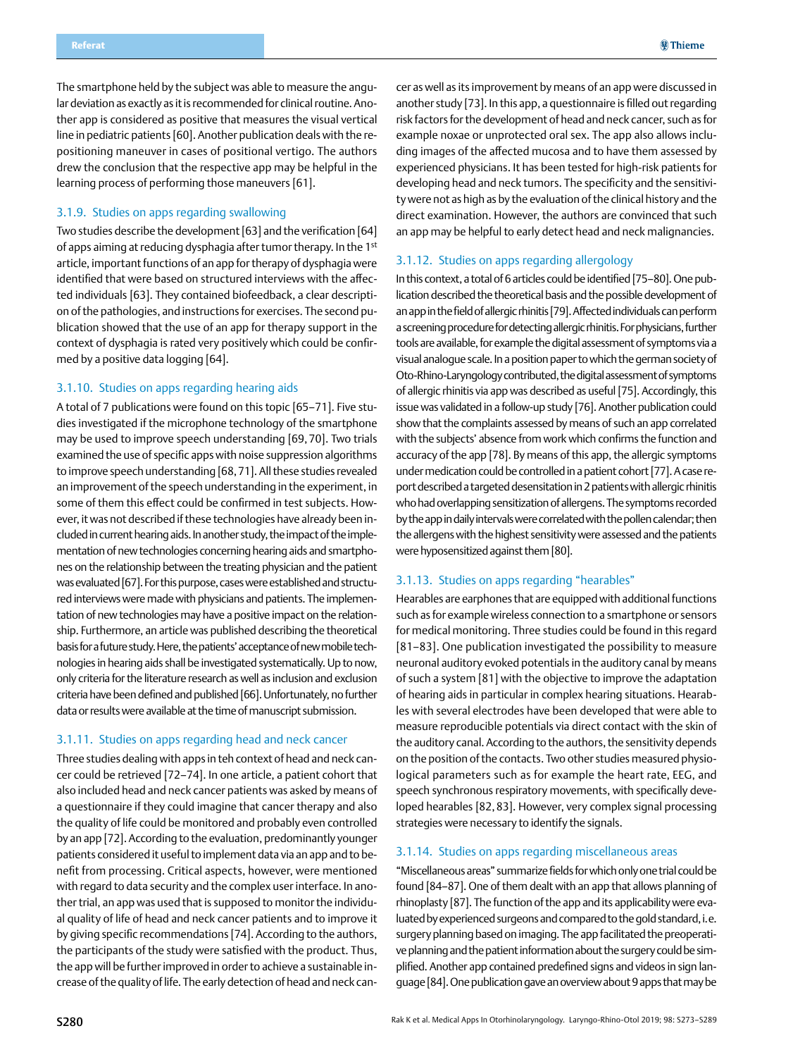The smartphone held by the subject was able to measure the angular deviation as exactly as it is recommended for clinical routine. Another app is considered as positive that measures the visual vertical line in pediatric patients [60]. Another publication deals with the repositioning maneuver in cases of positional vertigo. The authors drew the conclusion that the respective app may be helpful in the learning process of performing those maneuvers [61].

#### 3.1.9. Studies on apps regarding swallowing

Two studies describe the development [63] and the verification [64] of apps aiming at reducing dysphagia after tumor therapy. In the 1st article, important functions of an app for therapy of dysphagia were identified that were based on structured interviews with the affected individuals [63]. They contained biofeedback, a clear description of the pathologies, and instructions for exercises. The second publication showed that the use of an app for therapy support in the context of dysphagia is rated very positively which could be confirmed by a positive data logging [64].

#### 3.1.10. Studies on apps regarding hearing aids

A total of 7 publications were found on this topic [65–71]. Five studies investigated if the microphone technology of the smartphone may be used to improve speech understanding [69,70]. Two trials examined the use of specific apps with noise suppression algorithms to improve speech understanding [68,71]. All these studies revealed an improvement of the speech understanding in the experiment, in some of them this effect could be confirmed in test subjects. However, it was not described if these technologies have already been included in current hearing aids. In another study, the impact of the implementation of new technologies concerning hearing aids and smartphones on the relationship between the treating physician and the patient was evaluated [67]. For this purpose, cases were established and structured interviews were made with physicians and patients. The implementation of new technologies may have a positive impact on the relationship. Furthermore, an article was published describing the theoretical basis for a future study. Here, the patients' acceptance of new mobile technologies in hearing aids shall be investigated systematically. Up to now, only criteria for the literature research as well as inclusion and exclusion criteria have been defined and published [66]. Unfortunately, no further data or results were available at the time of manuscript submission.

#### 3.1.11. Studies on apps regarding head and neck cancer

Three studies dealing with apps in teh context of head and neck cancer could be retrieved [72–74]. In one article, a patient cohort that also included head and neck cancer patients was asked by means of a questionnaire if they could imagine that cancer therapy and also the quality of life could be monitored and probably even controlled by an app [72]. According to the evaluation, predominantly younger patients considered it useful to implement data via an app and to benefit from processing. Critical aspects, however, were mentioned with regard to data security and the complex user interface. In another trial, an app was used that is supposed to monitor the individual quality of life of head and neck cancer patients and to improve it by giving specific recommendations [74]. According to the authors, the participants of the study were satisfied with the product. Thus, the app will be further improved in order to achieve a sustainable increase of the quality of life. The early detection of head and neck cancer as well as its improvement by means of an app were discussed in another study [73]. In this app, a questionnaire is filled out regarding risk factors for the development of head and neck cancer, such as for example noxae or unprotected oral sex. The app also allows including images of the affected mucosa and to have them assessed by experienced physicians. It has been tested for high-risk patients for developing head and neck tumors. The specificity and the sensitivity were not as high as by the evaluation of the clinical history and the direct examination. However, the authors are convinced that such an app may be helpful to early detect head and neck malignancies.

#### 3.1.12. Studies on apps regarding allergology

In this context, a total of 6 articles could be identified [75–80]. One publication described the theoretical basis and the possible development of an app in the field of allergic rhinitis [79]. Affected individuals can perform a screening procedure for detecting allergic rhinitis. For physicians, further tools are available, for example the digital assessment of symptoms via a visual analogue scale. In a position paper to which the german society of Oto-Rhino-Laryngology contributed, the digital assessment of symptoms of allergic rhinitis via app was described as useful [75]. Accordingly, this issue was validated in a follow-up study [76]. Another publication could show that the complaints assessed by means of such an app correlated with the subjects' absence from work which confirms the function and accuracy of the app [78]. By means of this app, the allergic symptoms under medication could be controlled in a patient cohort [77]. A case report described a targeted desensitation in 2 patients with allergic rhinitis who had overlapping sensitization of allergens. The symptoms recorded by the app in daily intervals were correlated with the pollen calendar; then the allergens with the highest sensitivity were assessed and the patients were hyposensitized against them [80].

#### 3.1.13. Studies on apps regarding "hearables"

Hearables are earphones that are equipped with additional functions such as for example wireless connection to a smartphone or sensors for medical monitoring. Three studies could be found in this regard [81–83]. One publication investigated the possibility to measure neuronal auditory evoked potentials in the auditory canal by means of such a system [81] with the objective to improve the adaptation of hearing aids in particular in complex hearing situations. Hearables with several electrodes have been developed that were able to measure reproducible potentials via direct contact with the skin of the auditory canal. According to the authors, the sensitivity depends on the position of the contacts. Two other studies measured physiological parameters such as for example the heart rate, EEG, and speech synchronous respiratory movements, with specifically developed hearables [82,83]. However, very complex signal processing strategies were necessary to identify the signals.

#### 3.1.14. Studies on apps regarding miscellaneous areas

"Miscellaneous areas" summarize fields for which only one trial could be found [84–87]. One of them dealt with an app that allows planning of rhinoplasty [87]. The function of the app and its applicability were evaluated by experienced surgeons and compared to the gold standard, i.e. surgery planning based on imaging. The app facilitated the preoperative planning and the patient information about the surgery could be simplified. Another app contained predefined signs and videos in sign language [84]. One publication gave an overview about 9 apps that may be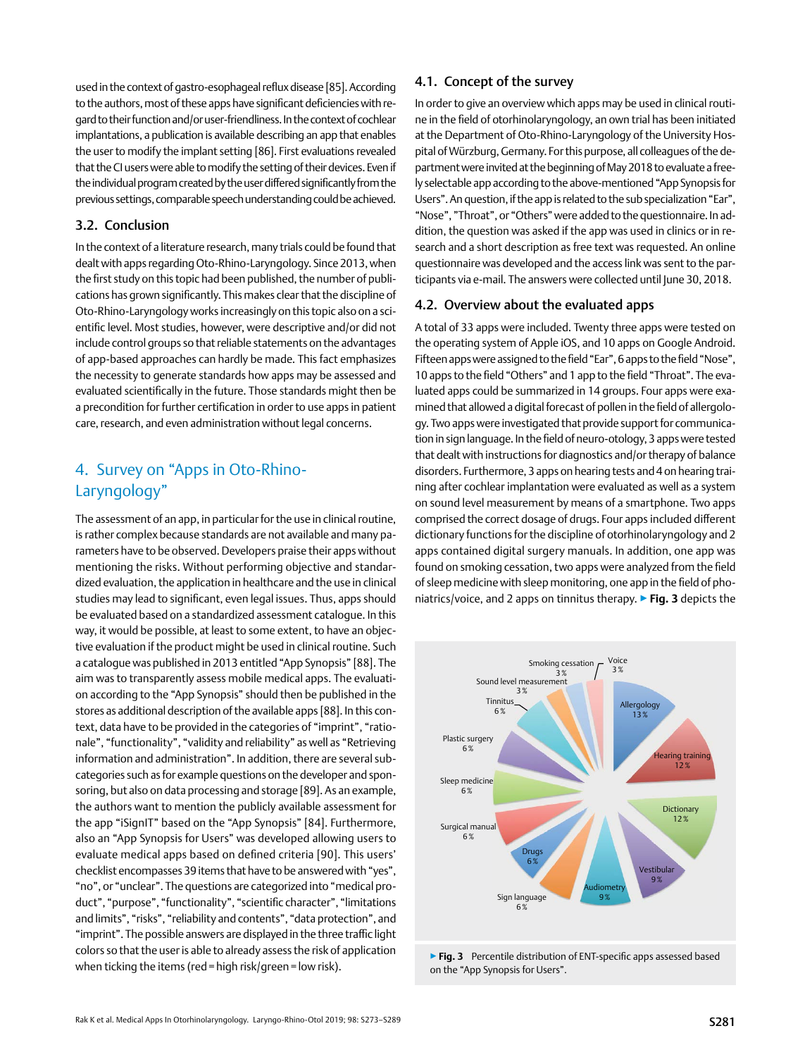<span id="page-8-0"></span>used in the context of gastro-esophageal reflux disease [85]. According to the authors, most of these apps have significant deficiencies with regard to their function and/or user-friendliness. In the context of cochlear implantations, a publication is available describing an app that enables the user to modify the implant setting [86]. First evaluations revealed that the CI users were able to modify the setting of their devices. Even if the individual program created by the user differed significantly from the previous settings, comparable speech understanding could be achieved.

### 3.2. Conclusion

In the context of a literature research, many trials could be found that dealt with apps regarding Oto-Rhino-Laryngology. Since 2013, when the first study on this topic had been published, the number of publications has grown significantly. This makes clear that the discipline of Oto-Rhino-Laryngology works increasingly on this topic also on a scientific level. Most studies, however, were descriptive and/or did not include control groups so that reliable statements on the advantages of app-based approaches can hardly be made. This fact emphasizes the necessity to generate standards how apps may be assessed and evaluated scientifically in the future. Those standards might then be a precondition for further certification in order to use apps in patient care, research, and even administration without legal concerns.

## 4. Survey on "Apps in Oto-Rhino-Laryngology"

The assessment of an app, in particular for the use in clinical routine, is rather complex because standards are not available and many parameters have to be observed. Developers praise their apps without mentioning the risks. Without performing objective and standardized evaluation, the application in healthcare and the use in clinical studies may lead to significant, even legal issues. Thus, apps should be evaluated based on a standardized assessment catalogue. In this way, it would be possible, at least to some extent, to have an objective evaluation if the product might be used in clinical routine. Such a catalogue was published in 2013 entitled "App Synopsis" [88]. The aim was to transparently assess mobile medical apps. The evaluation according to the "App Synopsis" should then be published in the stores as additional description of the available apps [88]. In this context, data have to be provided in the categories of "imprint", "rationale", "functionality", "validity and reliability" as well as "Retrieving information and administration". In addition, there are several subcategories such as for example questions on the developer and sponsoring, but also on data processing and storage [89]. As an example, the authors want to mention the publicly available assessment for the app "iSignIT" based on the "App Synopsis" [84]. Furthermore, also an "App Synopsis for Users" was developed allowing users to evaluate medical apps based on defined criteria [90]. This users' checklist encompasses 39 items that have to be answered with "yes", "no", or "unclear". The questions are categorized into "medical product", "purpose", "functionality", "scientific character", "limitations and limits", "risks", "reliability and contents", "data protection", and "imprint". The possible answers are displayed in the three traffic light colors so that the user is able to already assess the risk of application when ticking the items (red = high risk/green = low risk).

## 4.1. Concept of the survey

In order to give an overview which apps may be used in clinical routine in the field of otorhinolaryngology, an own trial has been initiated at the Department of Oto-Rhino-Laryngology of the University Hospital of Würzburg, Germany. For this purpose, all colleagues of the department were invited at the beginning of May 2018 to evaluate a freely selectable app according to the above-mentioned "App Synopsis for Users". An question, if the app is related to the sub specialization "Ear", "Nose", "Throat", or "Others" were added to the questionnaire. In addition, the question was asked if the app was used in clinics or in research and a short description as free text was requested. An online questionnaire was developed and the access link was sent to the participants via e-mail. The answers were collected until June 30, 2018.

#### 4.2. Overview about the evaluated apps

A total of 33 apps were included. Twenty three apps were tested on the operating system of Apple iOS, and 10 apps on Google Android. Fifteen apps were assigned to the field "Ear", 6 apps to the field "Nose", 10 apps to the field "Others" and 1 app to the field "Throat". The evaluated apps could be summarized in 14 groups. Four apps were examined that allowed a digital forecast of pollen in the field of allergology. Two apps were investigated that provide support for communication in sign language. In the field of neuro-otology, 3 apps were tested that dealt with instructions for diagnostics and/or therapy of balance disorders. Furthermore, 3 apps on hearing tests and 4 on hearing training after cochlear implantation were evaluated as well as a system on sound level measurement by means of a smartphone. Two apps comprised the correct dosage of drugs. Four apps included different dictionary functions for the discipline of otorhinolaryngology and 2 apps contained digital surgery manuals. In addition, one app was found on smoking cessation, two apps were analyzed from the field of sleep medicine with sleep monitoring, one app in the field of phoniatrics/voice, and 2 apps on tinnitus therapy. ▶**Fig. 3** depicts the



▶ Fig. 3 Percentile distribution of ENT-specific apps assessed based on the "App Synopsis for Users".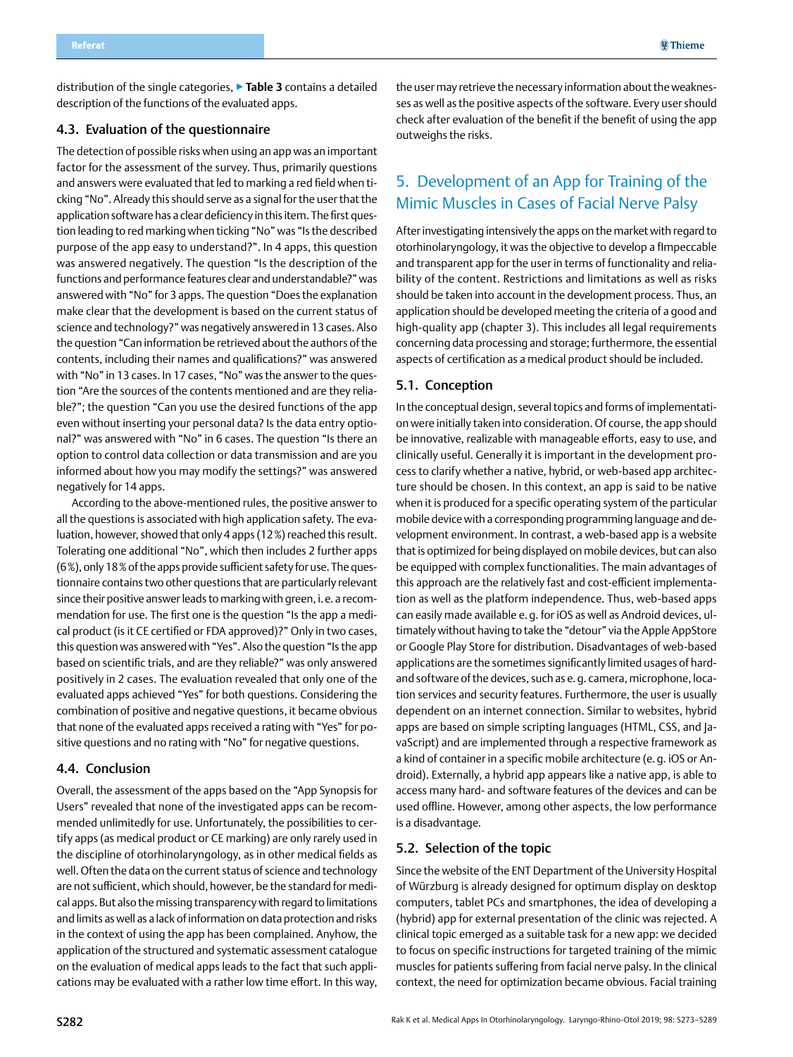<span id="page-9-0"></span>distribution of the single categories, ▶**Table 3** contains a detailed description of the functions of the evaluated apps.

#### 4.3. Evaluation of the questionnaire

The detection of possible risks when using an app was an important factor for the assessment of the survey. Thus, primarily questions and answers were evaluated that led to marking a red field when ticking "No". Already this should serve as a signal for the user that the application software has a clear deficiency in this item. The first question leading to red marking when ticking "No" was "Is the described purpose of the app easy to understand?". In 4 apps, this question was answered negatively. The question "Is the description of the functions and performance features clear and understandable?" was answered with "No" for 3 apps. The question "Does the explanation make clear that the development is based on the current status of science and technology?" was negatively answered in 13 cases. Also the question "Can information be retrieved about the authors of the contents, including their names and qualifications?" was answered with "No" in 13 cases. In 17 cases, "No" was the answer to the question "Are the sources of the contents mentioned and are they reliable?"; the question "Can you use the desired functions of the app even without inserting your personal data? Is the data entry optional?" was answered with "No" in 6 cases. The question "Is there an option to control data collection or data transmission and are you informed about how you may modify the settings?" was answered negatively for 14 apps.

According to the above-mentioned rules, the positive answer to all the questions is associated with high application safety. The evaluation, however, showed that only 4 apps (12%) reached this result. Tolerating one additional "No", which then includes 2 further apps (6%), only 18% of the apps provide sufficient safety for use. The questionnaire contains two other questions that are particularly relevant since their positive answer leads to marking with green, i.e. a recommendation for use. The first one is the question "Is the app a medical product (is it CE certified or FDA approved)?" Only in two cases, this question was answered with "Yes". Also the question "Is the app based on scientific trials, and are they reliable?" was only answered positively in 2 cases. The evaluation revealed that only one of the evaluated apps achieved "Yes" for both questions. Considering the combination of positive and negative questions, it became obvious that none of the evaluated apps received a rating with "Yes" for positive questions and no rating with "No" for negative questions.

#### 4.4. Conclusion

Overall, the assessment of the apps based on the "App Synopsis for Users" revealed that none of the investigated apps can be recommended unlimitedly for use. Unfortunately, the possibilities to certify apps (as medical product or CE marking) are only rarely used in the discipline of otorhinolaryngology, as in other medical fields as well. Often the data on the current status of science and technology are not sufficient, which should, however, be the standard for medical apps. But also the missing transparency with regard to limitations and limits as well as a lack of information on data protection and risks in the context of using the app has been complained. Anyhow, the application of the structured and systematic assessment catalogue on the evaluation of medical apps leads to the fact that such applications may be evaluated with a rather low time effort. In this way,

the user may retrieve the necessary information about the weaknesses as well as the positive aspects of the software. Every user should check after evaluation of the benefit if the benefit of using the app outweighs the risks.

## 5. Development of an App for Training of the Mimic Muscles in Cases of Facial Nerve Palsy

After investigating intensively the apps on the market with regard to otorhinolaryngology, it was the objective to develop a fImpeccable and transparent app for the user in terms of functionality and reliability of the content. Restrictions and limitations as well as risks should be taken into account in the development process. Thus, an application should be developed meeting the criteria of a good and high-quality app (chapter 3). This includes all legal requirements concerning data processing and storage; furthermore, the essential aspects of certification as a medical product should be included.

### 5.1. Conception

In the conceptual design, several topics and forms of implementation were initially taken into consideration. Of course, the app should be innovative, realizable with manageable efforts, easy to use, and clinically useful. Generally it is important in the development process to clarify whether a native, hybrid, or web-based app architecture should be chosen. In this context, an app is said to be native when it is produced for a specific operating system of the particular mobile device with a corresponding programming language and development environment. In contrast, a web-based app is a website that is optimized for being displayed on mobile devices, but can also be equipped with complex functionalities. The main advantages of this approach are the relatively fast and cost-efficient implementation as well as the platform independence. Thus, web-based apps can easily made available e.g. for iOS as well as Android devices, ultimately without having to take the "detour" via the Apple AppStore or Google Play Store for distribution. Disadvantages of web-based applications are the sometimes significantly limited usages of hardand software of the devices, such as e. q. camera, microphone, location services and security features. Furthermore, the user is usually dependent on an internet connection. Similar to websites, hybrid apps are based on simple scripting languages (HTML, CSS, and JavaScript) and are implemented through a respective framework as a kind of container in a specific mobile architecture (e.g. iOS or Android). Externally, a hybrid app appears like a native app, is able to access many hard- and software features of the devices and can be used offline. However, among other aspects, the low performance is a disadvantage.

#### 5.2. Selection of the topic

Since the website of the ENT Department of the University Hospital of Würzburg is already designed for optimum display on desktop computers, tablet PCs and smartphones, the idea of developing a (hybrid) app for external presentation of the clinic was rejected. A clinical topic emerged as a suitable task for a new app: we decided to focus on specific instructions for targeted training of the mimic muscles for patients suffering from facial nerve palsy. In the clinical context, the need for optimization became obvious. Facial training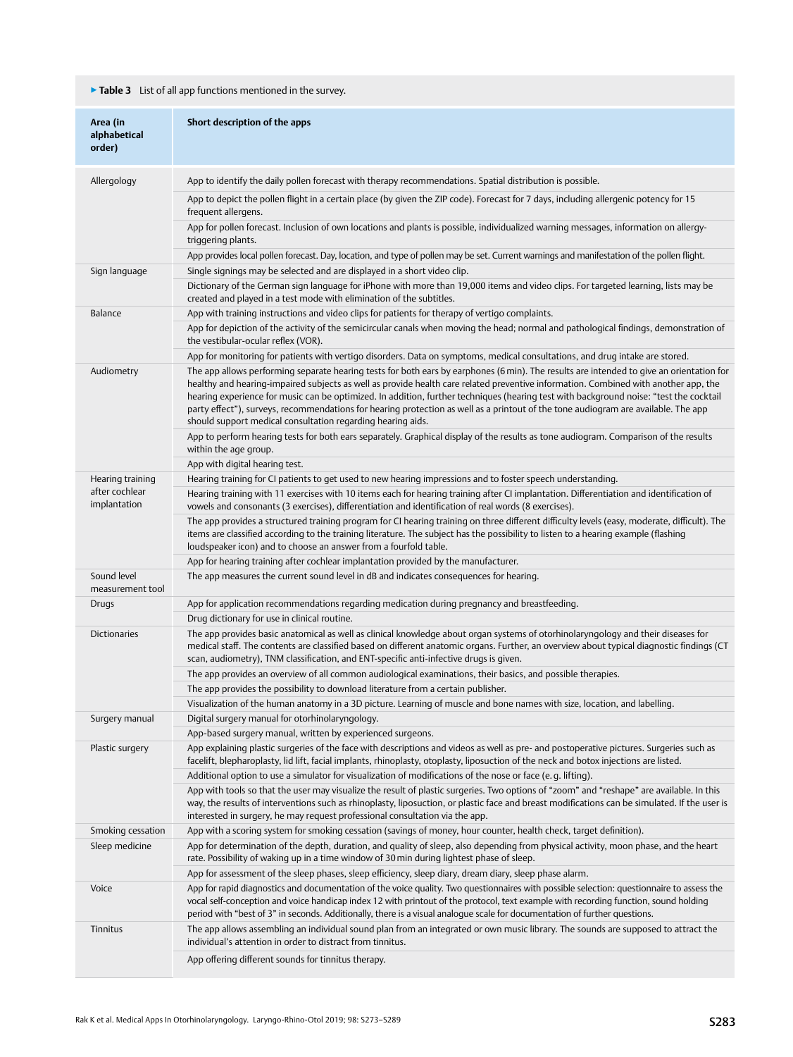## ▶**Table 3** List of all app functions mentioned in the survey.

| Area (in<br>alphabetical<br>order) | Short description of the apps                                                                                                                                                                                                                                                                                                                                                                                                                                                                                                                                                                                                  |
|------------------------------------|--------------------------------------------------------------------------------------------------------------------------------------------------------------------------------------------------------------------------------------------------------------------------------------------------------------------------------------------------------------------------------------------------------------------------------------------------------------------------------------------------------------------------------------------------------------------------------------------------------------------------------|
| Allergology                        | App to identify the daily pollen forecast with therapy recommendations. Spatial distribution is possible.                                                                                                                                                                                                                                                                                                                                                                                                                                                                                                                      |
|                                    | App to depict the pollen flight in a certain place (by given the ZIP code). Forecast for 7 days, including allergenic potency for 15                                                                                                                                                                                                                                                                                                                                                                                                                                                                                           |
|                                    | frequent allergens.<br>App for pollen forecast. Inclusion of own locations and plants is possible, individualized warning messages, information on allergy-                                                                                                                                                                                                                                                                                                                                                                                                                                                                    |
|                                    | triggering plants.                                                                                                                                                                                                                                                                                                                                                                                                                                                                                                                                                                                                             |
|                                    | App provides local pollen forecast. Day, location, and type of pollen may be set. Current warnings and manifestation of the pollen flight.                                                                                                                                                                                                                                                                                                                                                                                                                                                                                     |
| Sign language                      | Single signings may be selected and are displayed in a short video clip.                                                                                                                                                                                                                                                                                                                                                                                                                                                                                                                                                       |
|                                    | Dictionary of the German sign language for iPhone with more than 19,000 items and video clips. For targeted learning, lists may be<br>created and played in a test mode with elimination of the subtitles.                                                                                                                                                                                                                                                                                                                                                                                                                     |
| Balance                            | App with training instructions and video clips for patients for therapy of vertigo complaints.                                                                                                                                                                                                                                                                                                                                                                                                                                                                                                                                 |
|                                    | App for depiction of the activity of the semicircular canals when moving the head; normal and pathological findings, demonstration of<br>the vestibular-ocular reflex (VOR).                                                                                                                                                                                                                                                                                                                                                                                                                                                   |
|                                    | App for monitoring for patients with vertigo disorders. Data on symptoms, medical consultations, and drug intake are stored.                                                                                                                                                                                                                                                                                                                                                                                                                                                                                                   |
| Audiometry                         | The app allows performing separate hearing tests for both ears by earphones (6 min). The results are intended to give an orientation for<br>healthy and hearing-impaired subjects as well as provide health care related preventive information. Combined with another app, the<br>hearing experience for music can be optimized. In addition, further techniques (hearing test with background noise: "test the cocktail<br>party effect"), surveys, recommendations for hearing protection as well as a printout of the tone audiogram are available. The app<br>should support medical consultation regarding hearing aids. |
|                                    | App to perform hearing tests for both ears separately. Graphical display of the results as tone audiogram. Comparison of the results<br>within the age group.                                                                                                                                                                                                                                                                                                                                                                                                                                                                  |
|                                    | App with digital hearing test.                                                                                                                                                                                                                                                                                                                                                                                                                                                                                                                                                                                                 |
| Hearing training                   | Hearing training for CI patients to get used to new hearing impressions and to foster speech understanding.                                                                                                                                                                                                                                                                                                                                                                                                                                                                                                                    |
| after cochlear<br>implantation     | Hearing training with 11 exercises with 10 items each for hearing training after CI implantation. Differentiation and identification of<br>vowels and consonants (3 exercises), differentiation and identification of real words (8 exercises).                                                                                                                                                                                                                                                                                                                                                                                |
|                                    | The app provides a structured training program for CI hearing training on three different difficulty levels (easy, moderate, difficult). The<br>items are classified according to the training literature. The subject has the possibility to listen to a hearing example (flashing<br>loudspeaker icon) and to choose an answer from a fourfold table.                                                                                                                                                                                                                                                                        |
|                                    | App for hearing training after cochlear implantation provided by the manufacturer.                                                                                                                                                                                                                                                                                                                                                                                                                                                                                                                                             |
| Sound level<br>measurement tool    | The app measures the current sound level in dB and indicates consequences for hearing.                                                                                                                                                                                                                                                                                                                                                                                                                                                                                                                                         |
| Drugs                              | App for application recommendations regarding medication during pregnancy and breastfeeding.                                                                                                                                                                                                                                                                                                                                                                                                                                                                                                                                   |
|                                    | Drug dictionary for use in clinical routine.                                                                                                                                                                                                                                                                                                                                                                                                                                                                                                                                                                                   |
| <b>Dictionaries</b>                | The app provides basic anatomical as well as clinical knowledge about organ systems of otorhinolaryngology and their diseases for<br>medical staff. The contents are classified based on different anatomic organs. Further, an overview about typical diagnostic findings (CT<br>scan, audiometry), TNM classification, and ENT-specific anti-infective drugs is given.                                                                                                                                                                                                                                                       |
|                                    | The app provides an overview of all common audiological examinations, their basics, and possible therapies.                                                                                                                                                                                                                                                                                                                                                                                                                                                                                                                    |
|                                    | The app provides the possibility to download literature from a certain publisher.                                                                                                                                                                                                                                                                                                                                                                                                                                                                                                                                              |
|                                    | Visualization of the human anatomy in a 3D picture. Learning of muscle and bone names with size, location, and labelling.                                                                                                                                                                                                                                                                                                                                                                                                                                                                                                      |
| Surgery manual                     | Digital surgery manual for otorhinolaryngology.                                                                                                                                                                                                                                                                                                                                                                                                                                                                                                                                                                                |
|                                    | App-based surgery manual, written by experienced surgeons.                                                                                                                                                                                                                                                                                                                                                                                                                                                                                                                                                                     |
| Plastic surgery                    | App explaining plastic surgeries of the face with descriptions and videos as well as pre- and postoperative pictures. Surgeries such as<br>facelift, blepharoplasty, lid lift, facial implants, rhinoplasty, otoplasty, liposuction of the neck and botox injections are listed.                                                                                                                                                                                                                                                                                                                                               |
|                                    | Additional option to use a simulator for visualization of modifications of the nose or face (e.g. lifting).                                                                                                                                                                                                                                                                                                                                                                                                                                                                                                                    |
|                                    | App with tools so that the user may visualize the result of plastic surgeries. Two options of "zoom" and "reshape" are available. In this<br>way, the results of interventions such as rhinoplasty, liposuction, or plastic face and breast modifications can be simulated. If the user is<br>interested in surgery, he may request professional consultation via the app.                                                                                                                                                                                                                                                     |
| Smoking cessation                  | App with a scoring system for smoking cessation (savings of money, hour counter, health check, target definition).                                                                                                                                                                                                                                                                                                                                                                                                                                                                                                             |
| Sleep medicine                     | App for determination of the depth, duration, and quality of sleep, also depending from physical activity, moon phase, and the heart<br>rate. Possibility of waking up in a time window of 30 min during lightest phase of sleep.                                                                                                                                                                                                                                                                                                                                                                                              |
|                                    | App for assessment of the sleep phases, sleep efficiency, sleep diary, dream diary, sleep phase alarm.                                                                                                                                                                                                                                                                                                                                                                                                                                                                                                                         |
| Voice                              | App for rapid diagnostics and documentation of the voice quality. Two questionnaires with possible selection: questionnaire to assess the<br>vocal self-conception and voice handicap index 12 with printout of the protocol, text example with recording function, sound holding<br>period with "best of 3" in seconds. Additionally, there is a visual analogue scale for documentation of further questions.                                                                                                                                                                                                                |
| Tinnitus                           | The app allows assembling an individual sound plan from an integrated or own music library. The sounds are supposed to attract the<br>individual's attention in order to distract from tinnitus.                                                                                                                                                                                                                                                                                                                                                                                                                               |
|                                    | App offering different sounds for tinnitus therapy.                                                                                                                                                                                                                                                                                                                                                                                                                                                                                                                                                                            |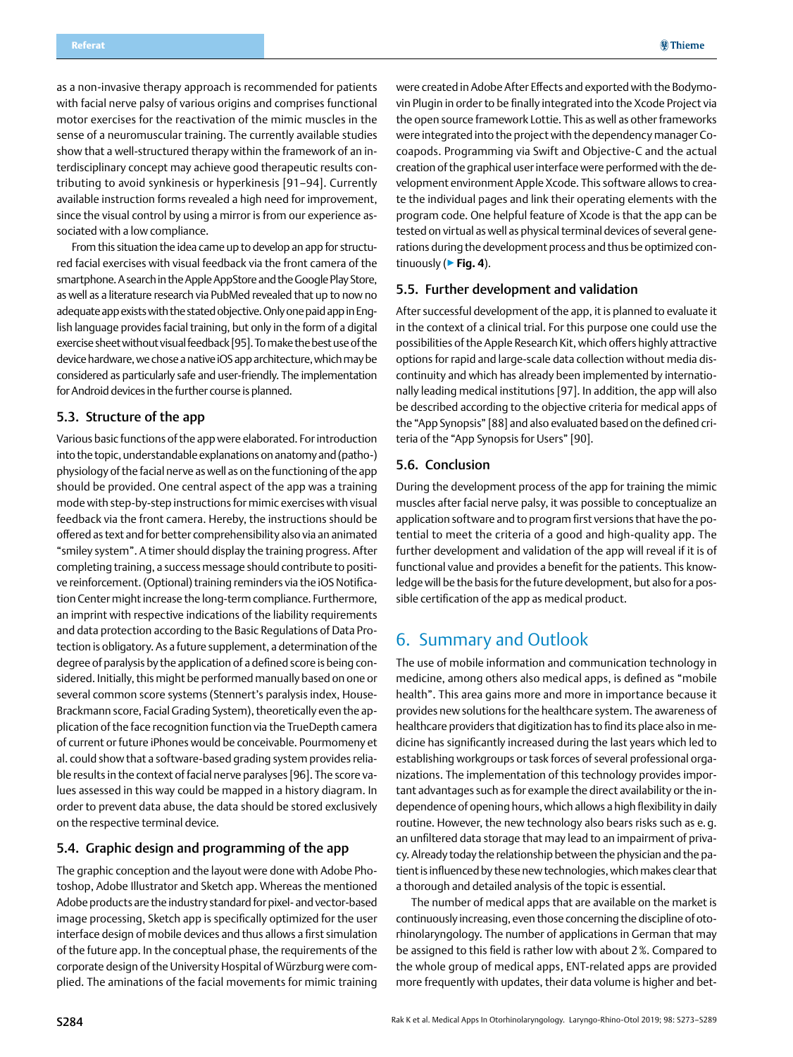<span id="page-11-0"></span>as a non-invasive therapy approach is recommended for patients with facial nerve palsy of various origins and comprises functional motor exercises for the reactivation of the mimic muscles in the sense of a neuromuscular training. The currently available studies show that a well-structured therapy within the framework of an interdisciplinary concept may achieve good therapeutic results contributing to avoid synkinesis or hyperkinesis [91–94]. Currently available instruction forms revealed a high need for improvement, since the visual control by using a mirror is from our experience associated with a low compliance.

From this situation the idea came up to develop an app for structured facial exercises with visual feedback via the front camera of the smartphone. A search in the Apple AppStore and the Google Play Store, as well as a literature research via PubMed revealed that up to now no adequate app exists with the stated objective. Only one paid app in English language provides facial training, but only in the form of a digital exercise sheet without visual feedback [95]. To make the best use of the device hardware, we chose a native iOS app architecture, which may be considered as particularly safe and user-friendly. The implementation for Android devices in the further course is planned.

### 5.3. Structure of the app

Various basic functions of the app were elaborated. For introduction into the topic, understandable explanations on anatomy and (patho-) physiology of the facial nerve as well as on the functioning of the app should be provided. One central aspect of the app was a training mode with step-by-step instructions for mimic exercises with visual feedback via the front camera. Hereby, the instructions should be offered as text and for better comprehensibility also via an animated "smiley system". A timer should display the training progress. After completing training, a success message should contribute to positive reinforcement. (Optional) training reminders via the iOS Notification Center might increase the long-term compliance. Furthermore, an imprint with respective indications of the liability requirements and data protection according to the Basic Regulations of Data Protection is obligatory. As a future supplement, a determination of the degree of paralysis by the application of a defined score is being considered. Initially, this might be performed manually based on one or several common score systems (Stennert's paralysis index, House-Brackmann score, Facial Grading System), theoretically even the application of the face recognition function via the TrueDepth camera of current or future iPhones would be conceivable. Pourmomeny et al. could show that a software-based grading system provides reliable results in the context of facial nerve paralyses [96]. The score values assessed in this way could be mapped in a history diagram. In order to prevent data abuse, the data should be stored exclusively on the respective terminal device.

#### 5.4. Graphic design and programming of the app

The graphic conception and the layout were done with Adobe Photoshop, Adobe Illustrator and Sketch app. Whereas the mentioned Adobe products are the industry standard for pixel- and vector-based image processing, Sketch app is specifically optimized for the user interface design of mobile devices and thus allows a first simulation of the future app. In the conceptual phase, the requirements of the corporate design of the University Hospital of Würzburg were complied. The aminations of the facial movements for mimic training

were created in Adobe After Effects and exported with the Bodymovin Plugin in order to be finally integrated into the Xcode Project via the open source framework Lottie. This as well as other frameworks were integrated into the project with the dependency manager Cocoapods. Programming via Swift and Objective-C and the actual creation of the graphical user interface were performed with the development environment Apple Xcode. This software allows to create the individual pages and link their operating elements with the program code. One helpful feature of Xcode is that the app can be tested on virtual as well as physical terminal devices of several generations during the development process and thus be optimized continuously (▶**Fig. 4**).

#### 5.5. Further development and validation

After successful development of the app, it is planned to evaluate it in the context of a clinical trial. For this purpose one could use the possibilities of the Apple Research Kit, which offers highly attractive options for rapid and large-scale data collection without media discontinuity and which has already been implemented by internationally leading medical institutions [97]. In addition, the app will also be described according to the objective criteria for medical apps of the "App Synopsis" [88] and also evaluated based on the defined criteria of the "App Synopsis for Users" [90].

#### 5.6. Conclusion

During the development process of the app for training the mimic muscles after facial nerve palsy, it was possible to conceptualize an application software and to program first versions that have the potential to meet the criteria of a good and high-quality app. The further development and validation of the app will reveal if it is of functional value and provides a benefit for the patients. This knowledge will be the basis for the future development, but also for a possible certification of the app as medical product.

## 6. Summary and Outlook

The use of mobile information and communication technology in medicine, among others also medical apps, is defined as "mobile health". This area gains more and more in importance because it provides new solutions for the healthcare system. The awareness of healthcare providers that digitization has to find its place also in medicine has significantly increased during the last years which led to establishing workgroups or task forces of several professional organizations. The implementation of this technology provides important advantages such as for example the direct availability or the independence of opening hours, which allows a high flexibility in daily routine. However, the new technology also bears risks such as e.g. an unfiltered data storage that may lead to an impairment of privacy. Already today the relationship between the physician and the patient is influenced by these new technologies, which makes clear that a thorough and detailed analysis of the topic is essential.

The number of medical apps that are available on the market is continuously increasing, even those concerning the discipline of otorhinolaryngology. The number of applications in German that may be assigned to this field is rather low with about 2%. Compared to the whole group of medical apps, ENT-related apps are provided more frequently with updates, their data volume is higher and bet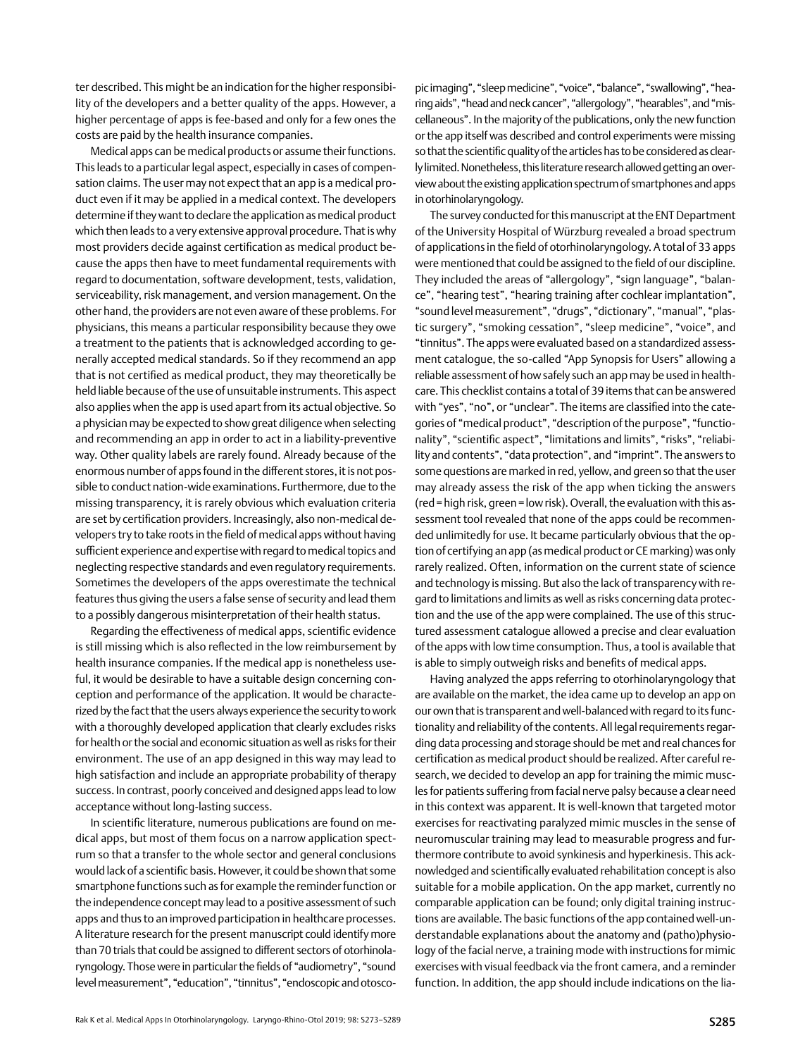ter described. This might be an indication for the higher responsibility of the developers and a better quality of the apps. However, a higher percentage of apps is fee-based and only for a few ones the costs are paid by the health insurance companies.

Medical apps can be medical products or assume their functions. This leads to a particular legal aspect, especially in cases of compensation claims. The user may not expect that an app is a medical product even if it may be applied in a medical context. The developers determine if they want to declare the application as medical product which then leads to a very extensive approval procedure. That is why most providers decide against certification as medical product because the apps then have to meet fundamental requirements with regard to documentation, software development, tests, validation, serviceability, risk management, and version management. On the other hand, the providers are not even aware of these problems. For physicians, this means a particular responsibility because they owe a treatment to the patients that is acknowledged according to generally accepted medical standards. So if they recommend an app that is not certified as medical product, they may theoretically be held liable because of the use of unsuitable instruments. This aspect also applies when the app is used apart from its actual objective. So a physician may be expected to show great diligence when selecting and recommending an app in order to act in a liability-preventive way. Other quality labels are rarely found. Already because of the enormous number of apps found in the different stores, it is not possible to conduct nation-wide examinations. Furthermore, due to the missing transparency, it is rarely obvious which evaluation criteria are set by certification providers. Increasingly, also non-medical developers try to take roots in the field of medical apps without having sufficient experience and expertise with regard to medical topics and neglecting respective standards and even regulatory requirements. Sometimes the developers of the apps overestimate the technical features thus giving the users a false sense of security and lead them to a possibly dangerous misinterpretation of their health status.

Regarding the effectiveness of medical apps, scientific evidence is still missing which is also reflected in the low reimbursement by health insurance companies. If the medical app is nonetheless useful, it would be desirable to have a suitable design concerning conception and performance of the application. It would be characterized by the fact that the users always experience the security to work with a thoroughly developed application that clearly excludes risks for health or the social and economic situation as well as risks for their environment. The use of an app designed in this way may lead to high satisfaction and include an appropriate probability of therapy success. In contrast, poorly conceived and designed apps lead to low acceptance without long-lasting success.

In scientific literature, numerous publications are found on medical apps, but most of them focus on a narrow application spectrum so that a transfer to the whole sector and general conclusions would lack of a scientific basis. However, it could be shown that some smartphone functions such as for example the reminder function or the independence concept may lead to a positive assessment of such apps and thus to an improved participation in healthcare processes. A literature research for the present manuscript could identify more than 70 trials that could be assigned to different sectors of otorhinolaryngology. Those were in particular the fields of "audiometry", "sound level measurement", "education", "tinnitus", "endoscopic and otoscopic imaging", "sleep medicine", "voice", "balance", "swallowing", "hearing aids", "head and neck cancer", "allergology", "hearables", and "miscellaneous". In the majority of the publications, only the new function or the app itself was described and control experiments were missing so that the scientific quality of the articles has to be considered as clearly limited. Nonetheless, this literature research allowed getting an overview about the existing application spectrum of smartphones and apps in otorhinolaryngology.

The survey conducted for this manuscript at the ENT Department of the University Hospital of Würzburg revealed a broad spectrum of applications in the field of otorhinolaryngology. A total of 33 apps were mentioned that could be assigned to the field of our discipline. They included the areas of "allergology", "sign language", "balance", "hearing test", "hearing training after cochlear implantation", "sound level measurement", "drugs", "dictionary", "manual", "plastic surgery", "smoking cessation", "sleep medicine", "voice", and "tinnitus". The apps were evaluated based on a standardized assessment catalogue, the so-called "App Synopsis for Users" allowing a reliable assessment of how safely such an app may be used in healthcare. This checklist contains a total of 39 items that can be answered with "yes", "no", or "unclear". The items are classified into the categories of "medical product", "description of the purpose", "functionality", "scientific aspect", "limitations and limits", "risks", "reliability and contents", "data protection", and "imprint". The answers to some questions are marked in red, yellow, and green so that the user may already assess the risk of the app when ticking the answers (red=high risk, green=low risk). Overall, the evaluation with this assessment tool revealed that none of the apps could be recommended unlimitedly for use. It became particularly obvious that the option of certifying an app (as medical product or CE marking) was only rarely realized. Often, information on the current state of science and technology is missing. But also the lack of transparency with regard to limitations and limits as well as risks concerning data protection and the use of the app were complained. The use of this structured assessment catalogue allowed a precise and clear evaluation of the apps with low time consumption. Thus, a tool is available that is able to simply outweigh risks and benefits of medical apps.

Having analyzed the apps referring to otorhinolaryngology that are available on the market, the idea came up to develop an app on our own that is transparent and well-balanced with regard to its functionality and reliability of the contents. All legal requirements regarding data processing and storage should be met and real chances for certification as medical product should be realized. After careful research, we decided to develop an app for training the mimic muscles for patients suffering from facial nerve palsy because a clear need in this context was apparent. It is well-known that targeted motor exercises for reactivating paralyzed mimic muscles in the sense of neuromuscular training may lead to measurable progress and furthermore contribute to avoid synkinesis and hyperkinesis. This acknowledged and scientifically evaluated rehabilitation concept is also suitable for a mobile application. On the app market, currently no comparable application can be found; only digital training instructions are available. The basic functions of the app contained well-understandable explanations about the anatomy and (patho)physiology of the facial nerve, a training mode with instructions for mimic exercises with visual feedback via the front camera, and a reminder function. In addition, the app should include indications on the lia-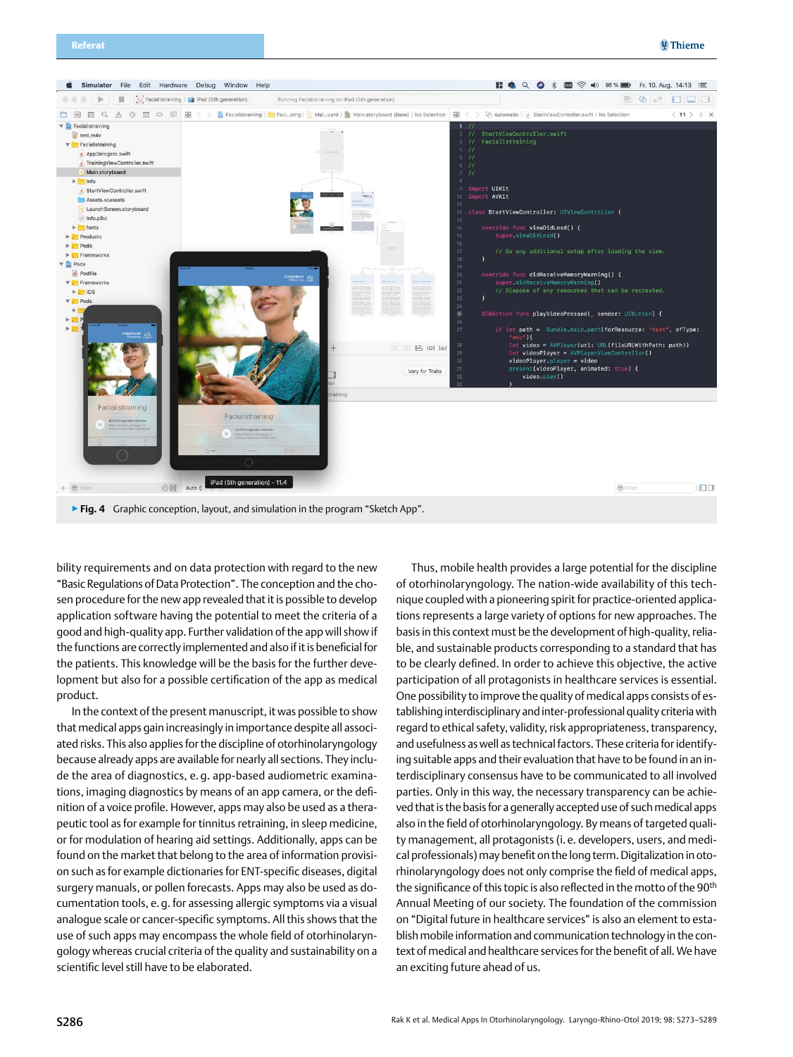

bility requirements and on data protection with regard to the new "Basic Regulations of Data Protection". The conception and the chosen procedure for the new app revealed that it is possible to develop application software having the potential to meet the criteria of a good and high-quality app. Further validation of the app will show if the functions are correctly implemented and also if it is beneficial for the patients. This knowledge will be the basis for the further development but also for a possible certification of the app as medical product.

In the context of the present manuscript, it was possible to show that medical apps gain increasingly in importance despite all associated risks. This also applies for the discipline of otorhinolaryngology because already apps are available for nearly all sections. They include the area of diagnostics, e. g. app-based audiometric examinations, imaging diagnostics by means of an app camera, or the definition of a voice profile. However, apps may also be used as a therapeutic tool as for example for tinnitus retraining, in sleep medicine, or for modulation of hearing aid settings. Additionally, apps can be found on the market that belong to the area of information provision such as for example dictionaries for ENT-specific diseases, digital surgery manuals, or pollen forecasts. Apps may also be used as documentation tools, e.g. for assessing allergic symptoms via a visual analogue scale or cancer-specific symptoms. All this shows that the use of such apps may encompass the whole field of otorhinolaryngology whereas crucial criteria of the quality and sustainability on a scientific level still have to be elaborated.

Thus, mobile health provides a large potential for the discipline of otorhinolaryngology. The nation-wide availability of this technique coupled with a pioneering spirit for practice-oriented applications represents a large variety of options for new approaches. The basis in this context must be the development of high-quality, reliable, and sustainable products corresponding to a standard that has to be clearly defined. In order to achieve this objective, the active participation of all protagonists in healthcare services is essential. One possibility to improve the quality of medical apps consists of establishing interdisciplinary and inter-professional quality criteria with regard to ethical safety, validity, risk appropriateness, transparency, and usefulness as well as technical factors. These criteria for identifying suitable apps and their evaluation that have to be found in an interdisciplinary consensus have to be communicated to all involved parties. Only in this way, the necessary transparency can be achieved that is the basis for a generally accepted use of such medical apps also in the field of otorhinolaryngology. By means of targeted quality management, all protagonists (i.e. developers, users, and medical professionals) may benefit on the long term. Digitalization in otorhinolaryngology does not only comprise the field of medical apps, the significance of this topic is also reflected in the motto of the 90<sup>th</sup> Annual Meeting of our society. The foundation of the commission on "Digital future in healthcare services" is also an element to establish mobile information and communication technology in the context of medical and healthcare services for the benefit of all. We have an exciting future ahead of us.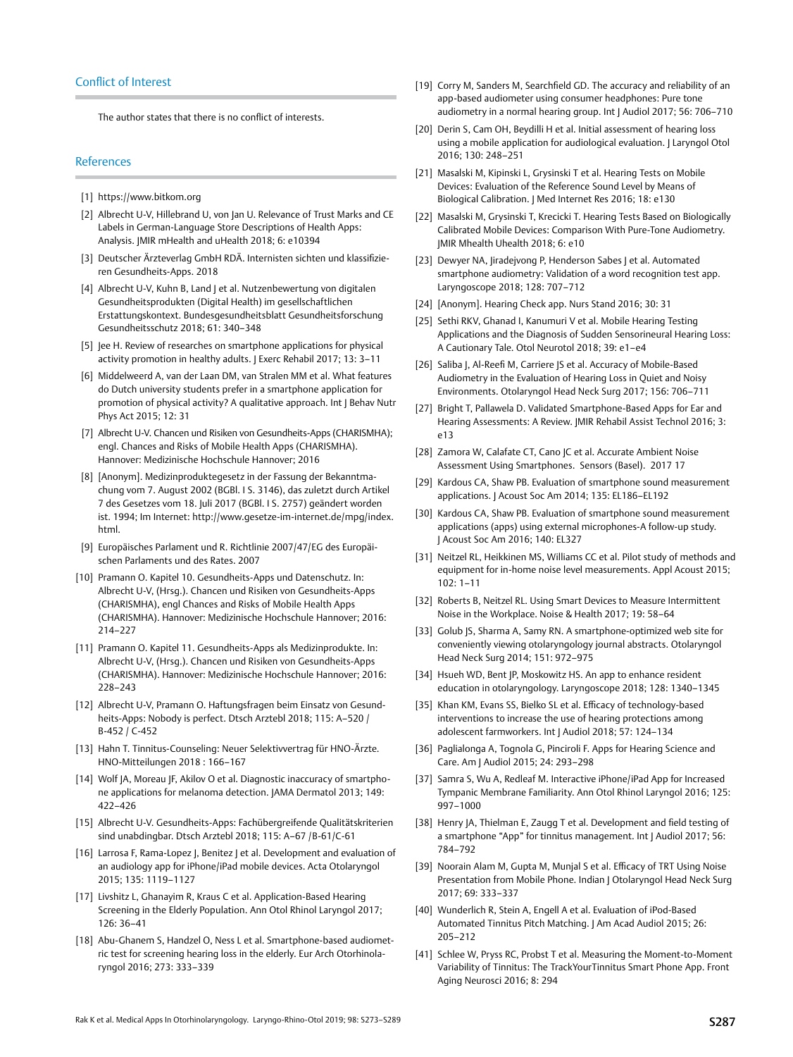#### Conflict of Interest

The author states that there is no conflict of interests.

#### References

- [1] [https://www.bitkom.org](http://https://www.bitkom.org)
- [2] Albrecht U-V, Hillebrand U, von Jan U. Relevance of Trust Marks and CE Labels in German-Language Store Descriptions of Health Apps: Analysis. JMIR mHealth and uHealth 2018; 6: e10394
- [3] Deutscher Ärzteverlag GmbH RDÄ. Internisten sichten und klassifizieren Gesundheits-Apps. 2018
- [4] Albrecht U-V, Kuhn B, Land | et al. Nutzenbewertung von digitalen Gesundheitsprodukten (Digital Health) im gesellschaftlichen Erstattungskontext. Bundesgesundheitsblatt Gesundheitsforschung Gesundheitsschutz 2018; 61: 340–348
- [5] Jee H. Review of researches on smartphone applications for physical activity promotion in healthy adults. J Exerc Rehabil 2017; 13: 3–11
- [6] Middelweerd A, van der Laan DM, van Stralen MM et al. What features do Dutch university students prefer in a smartphone application for promotion of physical activity? A qualitative approach. Int J Behav Nutr Phys Act 2015; 12: 31
- [7] Albrecht U-V. Chancen und Risiken von Gesundheits-Apps (CHARISMHA); engl. Chances and Risks of Mobile Health Apps (CHARISMHA). Hannover: Medizinische Hochschule Hannover; 2016
- [8] [Anonym]. Medizinproduktegesetz in der Fassung der Bekanntmachung vom 7. August 2002 (BGBl. I S. 3146), das zuletzt durch Artikel 7 des Gesetzes vom 18. Juli 2017 (BGBl. I S. 2757) geändert worden ist. 1994; Im Internet: [http://www.gesetze-im-internet.de/mpg/index.](http://www.gesetze-im-internet.de/mpg/index.html) [html.](http://www.gesetze-im-internet.de/mpg/index.html)
- [9] Europäisches Parlament und R. Richtlinie 2007/47/EG des Europäischen Parlaments und des Rates. 2007
- [10] Pramann O. Kapitel 10. Gesundheits-Apps und Datenschutz. In: Albrecht U-V, (Hrsg.). Chancen und Risiken von Gesundheits-Apps (CHARISMHA), engl Chances and Risks of Mobile Health Apps (CHARISMHA). Hannover: Medizinische Hochschule Hannover; 2016: 214–227
- [11] Pramann O. Kapitel 11. Gesundheits-Apps als Medizinprodukte. In: Albrecht U-V, (Hrsg.). Chancen und Risiken von Gesundheits-Apps (CHARISMHA). Hannover: Medizinische Hochschule Hannover; 2016: 228–243
- [12] Albrecht U-V, Pramann O. Haftungsfragen beim Einsatz von Gesundheits-Apps: Nobody is perfect. Dtsch Arztebl 2018; 115: A–520 / B-452 / C-452
- [13] Hahn T. Tinnitus-Counseling: Neuer Selektivvertrag für HNO-Ärzte. HNO-Mitteilungen 2018 : 166–167
- [14] Wolf JA, Moreau JF, Akilov O et al. Diagnostic inaccuracy of smartphone applications for melanoma detection. JAMA Dermatol 2013; 149: 422–426
- [15] Albrecht U-V. Gesundheits-Apps: Fachübergreifende Qualitätskriterien sind unabdingbar. Dtsch Arztebl 2018; 115: A–67 /B-61/C-61
- [16] Larrosa F, Rama-Lopez J, Benitez J et al. Development and evaluation of an audiology app for iPhone/iPad mobile devices. Acta Otolaryngol 2015; 135: 1119–1127
- [17] Livshitz L, Ghanayim R, Kraus C et al. Application-Based Hearing Screening in the Elderly Population. Ann Otol Rhinol Laryngol 2017; 126: 36–41
- [18] Abu-Ghanem S, Handzel O, Ness L et al. Smartphone-based audiometric test for screening hearing loss in the elderly. Eur Arch Otorhinolaryngol 2016; 273: 333–339
- [19] Corry M, Sanders M, Searchfield GD. The accuracy and reliability of an app-based audiometer using consumer headphones: Pure tone audiometry in a normal hearing group. Int J Audiol 2017; 56: 706–710
- [20] Derin S, Cam OH, Beydilli H et al. Initial assessment of hearing loss using a mobile application for audiological evaluation. J Laryngol Otol 2016; 130: 248–251
- [21] Masalski M, Kipinski L, Grysinski T et al. Hearing Tests on Mobile Devices: Evaluation of the Reference Sound Level by Means of Biological Calibration. J Med Internet Res 2016; 18: e130
- [22] Masalski M, Grysinski T, Krecicki T. Hearing Tests Based on Biologically Calibrated Mobile Devices: Comparison With Pure-Tone Audiometry. JMIR Mhealth Uhealth 2018; 6: e10
- [23] Dewyer NA, Jiradejvong P, Henderson Sabes J et al. Automated smartphone audiometry: Validation of a word recognition test app. Laryngoscope 2018; 128: 707–712
- [24] [Anonym]. Hearing Check app. Nurs Stand 2016; 30: 31
- [25] Sethi RKV, Ghanad I, Kanumuri V et al. Mobile Hearing Testing Applications and the Diagnosis of Sudden Sensorineural Hearing Loss: A Cautionary Tale. Otol Neurotol 2018; 39: e1–e4
- [26] Saliba J, Al-Reefi M, Carriere JS et al. Accuracy of Mobile-Based Audiometry in the Evaluation of Hearing Loss in Quiet and Noisy Environments. Otolaryngol Head Neck Surg 2017; 156: 706–711
- [27] Bright T, Pallawela D. Validated Smartphone-Based Apps for Ear and Hearing Assessments: A Review. JMIR Rehabil Assist Technol 2016; 3: e13
- [28] Zamora W, Calafate CT, Cano JC et al. Accurate Ambient Noise Assessment Using Smartphones. Sensors (Basel). 2017 17
- [29] Kardous CA, Shaw PB. Evaluation of smartphone sound measurement applications. J Acoust Soc Am 2014; 135: EL186–EL192
- [30] Kardous CA, Shaw PB. Evaluation of smartphone sound measurement applications (apps) using external microphones-A follow-up study. J Acoust Soc Am 2016; 140: EL327
- [31] Neitzel RL, Heikkinen MS, Williams CC et al. Pilot study of methods and equipment for in-home noise level measurements. Appl Acoust 2015; 102: 1–11
- [32] Roberts B, Neitzel RL. Using Smart Devices to Measure Intermittent Noise in the Workplace. Noise & Health 2017; 19: 58–64
- [33] Golub JS, Sharma A, Samy RN. A smartphone-optimized web site for conveniently viewing otolaryngology journal abstracts. Otolaryngol Head Neck Surg 2014; 151: 972–975
- [34] Hsueh WD, Bent JP, Moskowitz HS. An app to enhance resident education in otolaryngology. Laryngoscope 2018; 128: 1340–1345
- [35] Khan KM, Evans SS, Bielko SL et al. Efficacy of technology-based interventions to increase the use of hearing protections among adolescent farmworkers. Int J Audiol 2018; 57: 124–134
- [36] Paglialonga A, Tognola G, Pinciroli F. Apps for Hearing Science and Care. Am J Audiol 2015; 24: 293–298
- [37] Samra S, Wu A, Redleaf M. Interactive iPhone/iPad App for Increased Tympanic Membrane Familiarity. Ann Otol Rhinol Laryngol 2016; 125: 997–1000
- [38] Henry JA, Thielman E, Zaugg T et al. Development and field testing of a smartphone "App" for tinnitus management. Int J Audiol 2017; 56: 784–792
- [39] Noorain Alam M, Gupta M, Munjal S et al. Efficacy of TRT Using Noise Presentation from Mobile Phone. Indian J Otolaryngol Head Neck Surg 2017; 69: 333–337
- [40] Wunderlich R, Stein A, Engell A et al. Evaluation of iPod-Based Automated Tinnitus Pitch Matching. J Am Acad Audiol 2015; 26: 205–212
- [41] Schlee W, Pryss RC, Probst T et al. Measuring the Moment-to-Moment Variability of Tinnitus: The TrackYourTinnitus Smart Phone App. Front Aging Neurosci 2016; 8: 294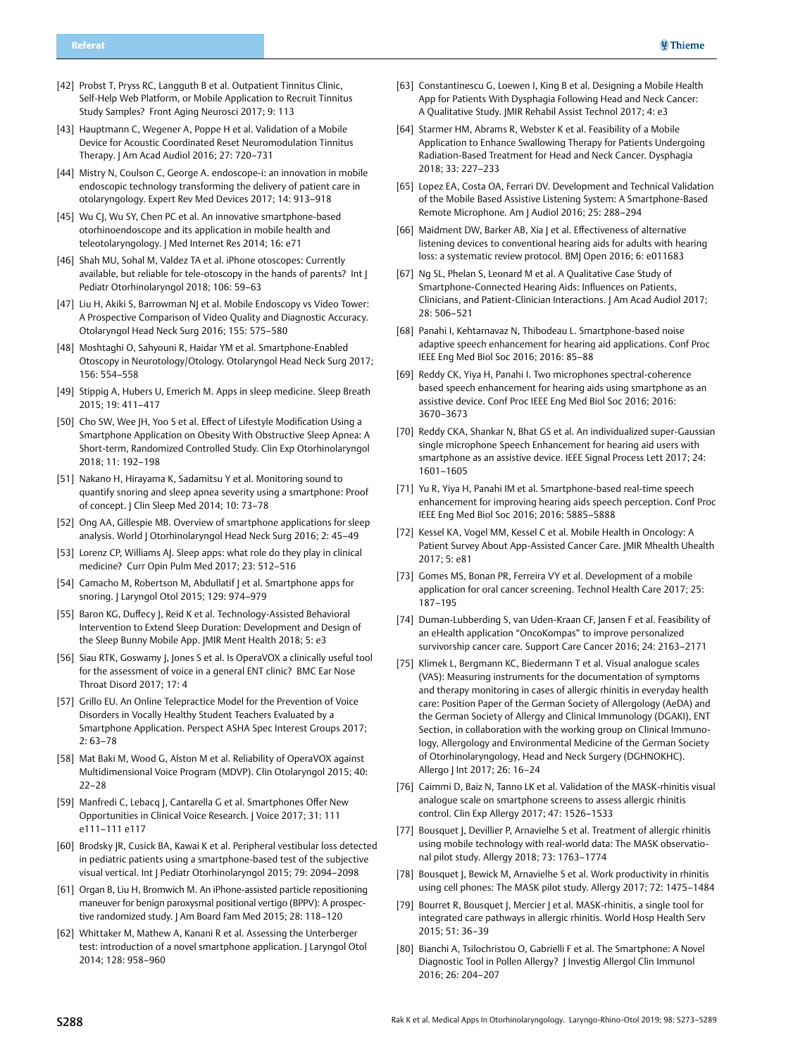- [42] Probst T, Pryss RC, Langguth B et al. Outpatient Tinnitus Clinic, Self-Help Web Platform, or Mobile Application to Recruit Tinnitus Study Samples? Front Aging Neurosci 2017; 9: 113
- [43] Hauptmann C, Wegener A, Poppe H et al. Validation of a Mobile Device for Acoustic Coordinated Reset Neuromodulation Tinnitus Therapy. J Am Acad Audiol 2016; 27: 720–731
- [44] Mistry N, Coulson C, George A. endoscope-i: an innovation in mobile endoscopic technology transforming the delivery of patient care in otolaryngology. Expert Rev Med Devices 2017; 14: 913–918
- [45] Wu CJ, Wu SY, Chen PC et al. An innovative smartphone-based otorhinoendoscope and its application in mobile health and teleotolaryngology. J Med Internet Res 2014; 16: e71
- [46] Shah MU, Sohal M, Valdez TA et al. iPhone otoscopes: Currently available, but reliable for tele-otoscopy in the hands of parents? Int J Pediatr Otorhinolaryngol 2018; 106: 59–63
- [47] Liu H, Akiki S, Barrowman NJ et al. Mobile Endoscopy vs Video Tower: A Prospective Comparison of Video Quality and Diagnostic Accuracy. Otolaryngol Head Neck Surg 2016; 155: 575–580
- [48] Moshtaghi O, Sahyouni R, Haidar YM et al. Smartphone-Enabled Otoscopy in Neurotology/Otology. Otolaryngol Head Neck Surg 2017; 156: 554–558
- [49] Stippig A, Hubers U, Emerich M. Apps in sleep medicine. Sleep Breath 2015; 19: 411–417
- [50] Cho SW, Wee JH, Yoo S et al. Effect of Lifestyle Modification Using a Smartphone Application on Obesity With Obstructive Sleep Apnea: A Short-term, Randomized Controlled Study. Clin Exp Otorhinolaryngol 2018; 11: 192–198
- [51] Nakano H, Hirayama K, Sadamitsu Y et al. Monitoring sound to quantify snoring and sleep apnea severity using a smartphone: Proof of concept. J Clin Sleep Med 2014; 10: 73–78
- [52] Ong AA, Gillespie MB. Overview of smartphone applications for sleep analysis. World J Otorhinolaryngol Head Neck Surg 2016; 2: 45-49
- [53] Lorenz CP, Williams AJ. Sleep apps: what role do they play in clinical medicine? Curr Opin Pulm Med 2017; 23: 512–516
- [54] Camacho M, Robertson M, Abdullatif J et al. Smartphone apps for snoring. J Laryngol Otol 2015; 129: 974–979
- [55] Baron KG, Duffecy J, Reid K et al. Technology-Assisted Behavioral Intervention to Extend Sleep Duration: Development and Design of the Sleep Bunny Mobile App. JMIR Ment Health 2018; 5: e3
- [56] Siau RTK, Goswamy J, Jones S et al. Is OperaVOX a clinically useful tool for the assessment of voice in a general ENT clinic? BMC Ear Nose Throat Disord 2017; 17: 4
- [57] Grillo EU. An Online Telepractice Model for the Prevention of Voice Disorders in Vocally Healthy Student Teachers Evaluated by a Smartphone Application. Perspect ASHA Spec Interest Groups 2017; 2: 63–78
- [58] Mat Baki M, Wood G, Alston M et al. Reliability of OperaVOX against Multidimensional Voice Program (MDVP). Clin Otolaryngol 2015; 40: 22–28
- [59] Manfredi C, Lebacq J, Cantarella G et al. Smartphones Offer New Opportunities in Clinical Voice Research. J Voice 2017; 31: 111 e111–111 e117
- [60] Brodsky JR, Cusick BA, Kawai K et al. Peripheral vestibular loss detected in pediatric patients using a smartphone-based test of the subjective visual vertical. Int | Pediatr Otorhinolaryngol 2015; 79: 2094-2098
- [61] Organ B, Liu H, Bromwich M. An iPhone-assisted particle repositioning maneuver for benign paroxysmal positional vertigo (BPPV): A prospective randomized study. J Am Board Fam Med 2015; 28: 118–120
- [62] Whittaker M, Mathew A, Kanani R et al. Assessing the Unterberger test: introduction of a novel smartphone application. J Laryngol Otol 2014; 128: 958–960
- [63] Constantinescu G, Loewen I, King B et al. Designing a Mobile Health App for Patients With Dysphagia Following Head and Neck Cancer: A Qualitative Study. JMIR Rehabil Assist Technol 2017; 4: e3
- [64] Starmer HM, Abrams R, Webster K et al. Feasibility of a Mobile Application to Enhance Swallowing Therapy for Patients Undergoing Radiation-Based Treatment for Head and Neck Cancer. Dysphagia 2018; 33: 227–233
- [65] Lopez EA, Costa OA, Ferrari DV. Development and Technical Validation of the Mobile Based Assistive Listening System: A Smartphone-Based Remote Microphone. Am J Audiol 2016; 25: 288–294
- [66] Maidment DW, Barker AB, Xia | et al. Effectiveness of alternative listening devices to conventional hearing aids for adults with hearing loss: a systematic review protocol. BMJ Open 2016; 6: e011683
- [67] Ng SL, Phelan S, Leonard M et al. A Qualitative Case Study of Smartphone-Connected Hearing Aids: Influences on Patients, Clinicians, and Patient-Clinician Interactions. J Am Acad Audiol 2017; 28: 506–521
- [68] Panahi I, Kehtarnavaz N, Thibodeau L. Smartphone-based noise adaptive speech enhancement for hearing aid applications. Conf Proc IEEE Eng Med Biol Soc 2016; 2016: 85–88
- [69] Reddy CK, Yiya H, Panahi I. Two microphones spectral-coherence based speech enhancement for hearing aids using smartphone as an assistive device. Conf Proc IEEE Eng Med Biol Soc 2016; 2016: 3670–3673
- [70] Reddy CKA, Shankar N, Bhat GS et al. An individualized super-Gaussian single microphone Speech Enhancement for hearing aid users with smartphone as an assistive device. IEEE Signal Process Lett 2017; 24: 1601–1605
- [71] Yu R, Yiya H, Panahi IM et al. Smartphone-based real-time speech enhancement for improving hearing aids speech perception. Conf Proc IEEE Eng Med Biol Soc 2016; 2016: 5885–5888
- [72] Kessel KA, Vogel MM, Kessel C et al. Mobile Health in Oncology: A Patient Survey About App-Assisted Cancer Care. JMIR Mhealth Uhealth 2017; 5: e81
- [73] Gomes MS, Bonan PR, Ferreira VY et al. Development of a mobile application for oral cancer screening. Technol Health Care 2017; 25: 187–195
- [74] Duman-Lubberding S, van Uden-Kraan CF, Jansen F et al. Feasibility of an eHealth application "OncoKompas" to improve personalized survivorship cancer care. Support Care Cancer 2016; 24: 2163–2171
- [75] Klimek L, Bergmann KC, Biedermann T et al. Visual analogue scales (VAS): Measuring instruments for the documentation of symptoms and therapy monitoring in cases of allergic rhinitis in everyday health care: Position Paper of the German Society of Allergology (AeDA) and the German Society of Allergy and Clinical Immunology (DGAKI), ENT Section, in collaboration with the working group on Clinical Immunology, Allergology and Environmental Medicine of the German Society of Otorhinolaryngology, Head and Neck Surgery (DGHNOKHC). Allergo J Int 2017; 26: 16–24
- [76] Caimmi D, Baiz N, Tanno LK et al. Validation of the MASK-rhinitis visual analogue scale on smartphone screens to assess allergic rhinitis control. Clin Exp Allergy 2017; 47: 1526–1533
- [77] Bousquet J, Devillier P, Arnavielhe S et al. Treatment of allergic rhinitis using mobile technology with real-world data: The MASK observational pilot study. Allergy 2018; 73: 1763–1774
- [78] Bousquet J, Bewick M, Arnavielhe S et al. Work productivity in rhinitis using cell phones: The MASK pilot study. Allergy 2017; 72: 1475–1484
- [79] Bourret R, Bousquet J, Mercier J et al. MASK-rhinitis, a single tool for integrated care pathways in allergic rhinitis. World Hosp Health Serv 2015; 51: 36–39
- [80] Bianchi A, Tsilochristou O, Gabrielli F et al. The Smartphone: A Novel Diagnostic Tool in Pollen Allergy? J Investig Allergol Clin Immunol 2016; 26: 204–207